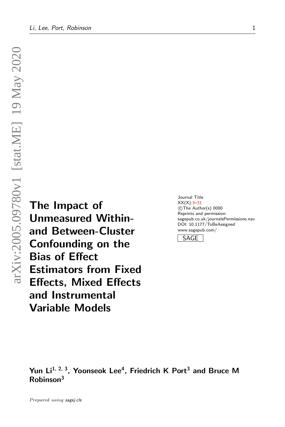The Impact of Unmeasured Withinand Between-Cluster Confounding on the Bias of Effect Estimators from Fixed Effects, Mixed Effects and Instrumental Variable Models

Journal Title XX(X)[:3](#page-1-0)[–31](#page-10-0) CThe Author(s) 0000 Reprints and permission: sagepub.co.uk/journalsPermissions.nav DOI: 10.1177/ToBeAssigned www.sagepub.com/

SAGE

Yun Li<sup>1, 2, 3</sup>, Yoonseok Lee<sup>4</sup>, Friedrich K Port<sup>3</sup> and Bruce M Robinson<sup>3</sup>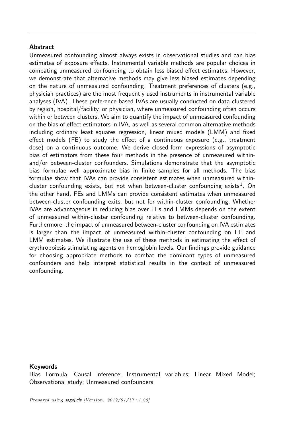## <span id="page-1-0"></span>**Abstract**

Unmeasured confounding almost always exists in observational studies and can bias estimates of exposure effects. Instrumental variable methods are popular choices in combating unmeasured confounding to obtain less biased effect estimates. However, we demonstrate that alternative methods may give less biased estimates depending on the nature of unmeasured confounding. Treatment preferences of clusters (e.g., physician practices) are the most frequently used instruments in instrumental variable analyses (IVA). These preference-based IVAs are usually conducted on data clustered by region, hospital/facility, or physician, where unmeasured confounding often occurs within or between clusters. We aim to quantify the impact of unmeasured confounding on the bias of effect estimators in IVA, as well as several common alternative methods including ordinary least squares regression, linear mixed models (LMM) and fixed effect models (FE) to study the effect of a continuous exposure (e.g., treatment dose) on a continuous outcome. We derive closed-form expressions of asymptotic bias of estimators from these four methods in the presence of unmeasured withinand/or between-cluster confounders. Simulations demonstrate that the asymptotic bias formulae well approximate bias in finite samples for all methods. The bias formulae show that IVAs can provide consistent estimates when unmeasured within-cluster confounding exists, but not when between-cluster confounding exists<sup>[1](#page-24-0)</sup>. On the other hand, FEs and LMMs can provide consistent estimates when unmeasured between-cluster confounding exits, but not for within-cluster confounding. Whether IVAs are advantageous in reducing bias over FEs and LMMs depends on the extent of unmeasured within-cluster confounding relative to between-cluster confounding. Furthermore, the impact of unmeasured between-cluster confounding on IVA estimates is larger than the impact of unmeasured within-cluster confounding on FE and LMM estimates. We illustrate the use of these methods in estimating the effect of erythropoiesis stimulating agents on hemoglobin levels. Our findings provide guidance for choosing appropriate methods to combat the dominant types of unmeasured confounders and help interpret statistical results in the context of unmeasured confounding.

### Keywords

Bias Formula; Causal inference; Instrumental variables; Linear Mixed Model; Observational study; Unmeasured confounders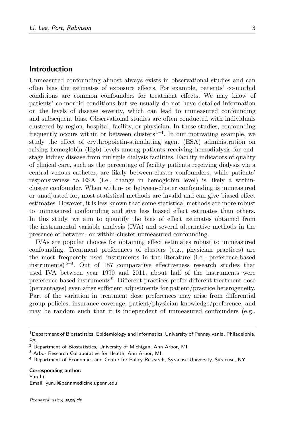## Introduction

Unmeasured confounding almost always exists in observational studies and can often bias the estimates of exposure effects. For example, patients' co-morbid conditions are common confounders for treatment effects. We may know of patients' co-morbid conditions but we usually do not have detailed information on the levels of disease severity, which can lead to unmeasured confounding and subsequent bias. Observational studies are often conducted with individuals clustered by region, hospital, facility, or physician. In these studies, confounding frequently occurs within or between clusters<sup> $1-4$  $1-4$ </sup>. In our motivating example, we study the effect of erythropoietin-stimulating agent (ESA) administration on raising hemoglobin (Hgb) levels among patients receiving hemodialysis for endstage kidney disease from multiple dialysis facilities. Facility indicators of quality of clinical care, such as the percentage of facility patients receiving dialysis via a central venous catheter, are likely between-cluster confounders, while patients' responsiveness to ESA (i.e., change in hemoglobin level) is likely a withincluster confounder. When within- or between-cluster confounding is unmeasured or unadjusted for, most statistical methods are invalid and can give biased effect estimates. However, it is less known that some statistical methods are more robust to unmeasured confounding and give less biased effect estimates than others. In this study, we aim to quantify the bias of effect estimates obtained from the instrumental variable analysis (IVA) and several alternative methods in the presence of between- or within-cluster unmeasured confounding.

IVAs are popular choices for obtaining effect estimates robust to unmeasured confounding. Treatment preferences of clusters (e.g., physician practices) are the most frequently used instruments in the literature (i.e., preference-based instruments) [5–](#page-24-2)[8](#page-25-0) . Out of 187 comparative effectiveness research studies that used IVA between year 1990 and 2011, about half of the instruments were preference-based instruments [9](#page-25-1) . Different practices prefer different treatment dose (percentages) even after sufficient adjustments for patient/practice heterogeneity. Part of the variation in treatment dose preferences may arise from differential group policies, insurance coverage, patient/physician knowledge/preference, and may be random such that it is independent of unmeasured confounders (e.g.,

#### Corresponding author:

Yun Li Email: yun.li@pennmedicine.upenn.edu

 $1$ Department of Biostatistics, Epidemiology and Informatics, University of Pennsylvania, Philadelphia, PA.

<sup>2</sup> Department of Biostatistics, University of Michigan, Ann Arbor, MI.

<sup>3</sup> Arbor Research Collaborative for Health, Ann Arbor, MI.

<sup>4</sup> Department of Economics and Center for Policy Research, Syracuse University, Syracuse, NY.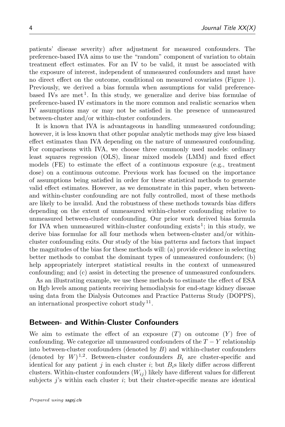patients' disease severity) after adjustment for measured confounders. The preference-based IVA aims to use the "random" component of variation to obtain treatment effect estimates. For an IV to be valid, it must be associated with the exposure of interest, independent of unmeasured confounders and must have no direct effect on the outcome, conditional on measured covariates (Figure [1\)](#page-6-0). Previously, we derived a bias formula when assumptions for valid preference-based IVs are met<sup>[1](#page-24-0)</sup>. In this study, we generalize and derive bias formulae of preference-based IV estimators in the more common and realistic scenarios when IV assumptions may or may not be satisfied in the presence of unmeasured between-cluster and/or within-cluster confounders.

It is known that IVA is advantageous in handling unmeasured confounding; however, it is less known that other popular analytic methods may give less biased effect estimates than IVA depending on the nature of unmeasured confounding. For comparisons with IVA, we choose three commonly used models: ordinary least squares regression (OLS), linear mixed models (LMM) and fixed effect models (FE) to estimate the effect of a continuous exposure (e.g., treatment dose) on a continuous outcome. Previous work has focused on the importance of assumptions being satisfied in order for these statistical methods to generate valid effect estimates. However, as we demonstrate in this paper, when betweenand within-cluster confounding are not fully controlled, most of these methods are likely to be invalid. And the robustness of these methods towards bias differs depending on the extent of unmeasured within-cluster confounding relative to unmeasured between-cluster confounding. Our prior work derived bias formula for IVA when unmeasured within-cluster confounding exists<sup>[1](#page-24-0)</sup>; in this study, we derive bias formulae for all four methods when between-cluster and/or withincluster confounding exits. Our study of the bias patterns and factors that impact the magnitudes of the bias for these methods will: (a) provide evidence in selecting better methods to combat the dominant types of unmeasured confounders; (b) help appropriately interpret statistical results in the context of unmeasured confounding; and (c) assist in detecting the presence of unmeasured confounders.

As an illustrating example, we use these methods to estimate the effect of ESA on Hgb levels among patients receiving hemodialysis for end-stage kidney disease using data from the Dialysis Outcomes and Practice Patterns Study (DOPPS), an international prospective cohort study  $11$ .

## Between- and Within-Cluster Confounders

We aim to estimate the effect of an exposure  $(T)$  on outcome  $(Y)$  free of confounding. We categorize all unmeasured confounders of the  $T - Y$  relationship into between-cluster confounders (denoted by  $B$ ) and within-cluster confounders (denoted by  $W)^{1,2}$  $W)^{1,2}$  $W)^{1,2}$  $W)^{1,2}$ . Between-cluster confounders  $B_i$  are cluster-specific and identical for any patient j in each cluster i; but  $B_i$ s likely differ across different clusters. Within-cluster confounders  $(W_{ij})$  likely have different values for different subjects  $j$ 's within each cluster  $i$ ; but their cluster-specific means are identical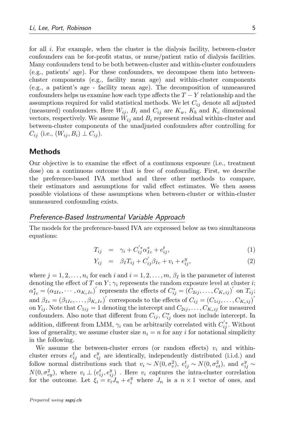for all  $i$ . For example, when the cluster is the dialysis facility, between-cluster confounders can be for-profit status, or nurse/patient ratio of dialysis facilities. Many confounders tend to be both between-cluster and within-cluster confounders (e.g., patients' age). For these confounders, we decompose them into betweencluster components (e.g., facility mean age) and within-cluster components (e.g., a patient's age - facility mean age). The decomposition of unmeasured confounders helps us examine how each type affects the  $T - Y$  relationship and the assumptions required for valid statistical methods. We let  $C_{ij}$  denote all adjusted (measured) confounders. Here  $W_{ij}$ ,  $B_i$  and  $C_{ij}$  are  $K_w$ ,  $K_b$  and  $K_c$  dimensional vectors, respectively. We assume  $W_{ij}$  and  $B_i$  represent residual within-cluster and between-cluster components of the unadjusted confounders after controlling for  $C_{ij}$  (i.e.,  $(W_{ij}, B_i) \perp C_{ij}$ ).

## Methods

Our objective is to examine the effect of a continuous exposure (i.e., treatment dose) on a continuous outcome that is free of confounding. First, we describe the preference-based IVA method and three other methods to compare, their estimators and assumptions for valid effect estimates. We then assess possible violations of these assumptions when between-cluster or within-cluster unmeasured confounding exists.

## Preference-Based Instrumental Variable Approach

The models for the preference-based IVA are expressed below as two simultaneous equations:

<span id="page-4-0"></span>
$$
T_{ij} = \gamma_i + C_{ij}^{'*} \alpha_{Ic}^* + e_{ij}^t, \qquad (1)
$$

$$
Y_{ij} = \beta_I T_{ij} + C'_{ij} \beta_{Ic} + v_i + e^y_{ij}, \qquad (2)
$$

where  $j = 1, 2, \ldots, n_i$  for each i and  $i = 1, 2, \ldots, m, \beta_I$  is the parameter of interest denoting the effect of T on Y;  $\gamma_i$  represents the random exposure level at cluster i;  $\alpha_{Ic}^* = (\alpha_{2Ic}, \cdots, \alpha_{K_cIc})'$  represents the effects of  $C_{ij}^* = (C_{2ij}, \ldots, C_{K_cij})'$  on  $T_{ij}$ ; and  $\beta_{Ic} = (\beta_{1Ic}, \ldots, \beta_{K_cIc})'$  corresponds to the effects of  $C_{ij} = (C_{1ij}, \ldots, C_{K_cij})'$ on  $Y_{ij}$ . Note that  $C_{1ij} = 1$  denoting the intercept and  $C_{2ij}, \ldots, C_{K_cij}$  for measured confounders. Also note that different from  $C_{ij}$ ,  $C_{ij}^*$  does not include intercept. In addition, different from LMM,  $\gamma_i$  can be arbitrarily correlated with  $C_{ij}^*$ . Without loss of generality, we assume cluster size  $n<sub>i</sub> = n$  for any i for notational simplicity in the following.

We assume the between-cluster errors (or random effects)  $v_i$  and withincluster errors  $e_{ij}^t$  and  $e_{ij}^y$  are identically, independently distributed (i.i.d.) and follow normal distributions such that  $v_i \sim N(0, \sigma_v^2)$ ,  $e_{ij}^t \sim N(0, \sigma_{et}^2)$ , and  $e_{ij}^y \sim$  $N(0, \sigma_{ey}^2)$ , where  $v_i \perp (e_{ij}^t, e_{ij}^y)$ . Here  $v_i$  captures the intra-cluster correlation for the outcome. Let  $\xi_i = v_i J_n + e_i^y$  where  $J_n$  is a  $n \times 1$  vector of ones, and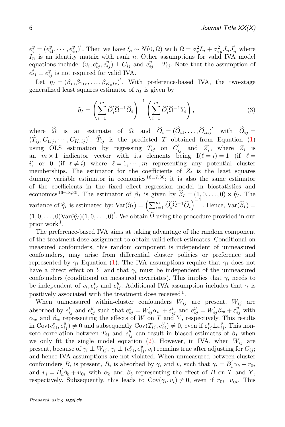$e_i^y = (e_{i1}^y, \dots, e_{in}^y)'$ . Then we have  $\xi_i \sim N(0, \Omega)$  with  $\Omega = \sigma_v^2 I_n + \sigma_{ey}^2 J_n J'_n$  where  $I_n$  is an identity matrix with rank n. Other assumptions for valid IVA model equations include:  $(v_i, e_{ij}^t, e_{ij}^y) \perp C_{ij}$  and  $e_{ij}^y \perp T_{ij}$ . Note that the assumption of  $e_{ij}^t \perp e_{ij}^y$  is not required for valid IVA.

Let  $\eta_I = (\beta_I, \beta_{1Ic}, \dots, \beta_{K_cIc})'$ . With preference-based IVA, the two-stage generalized least squares estimator of  $\eta_I$  is given by

<span id="page-5-0"></span>
$$
\widehat{\eta}_I = \left(\sum_{i=1}^m \widehat{O}'_i \widehat{\Omega}^{-1} \widehat{O}_i\right)^{-1} \left(\sum_{i=1}^m \widehat{O}'_i \widehat{\Omega}^{-1} Y_i\right),\tag{3}
$$

where  $\widehat{\Omega}$  is an estimate of  $\Omega$  and  $\widehat{O}_i = (\widehat{O}_{i1}, \ldots, \widehat{O}_{in})'$  with  $\widehat{O}_{ij} =$  $(\widehat{T}_{ij}, C_{1ij}, \cdots, C_{K_cij})'$ .  $\widehat{T}_{ij}$  is the predicted T obtained from Equation [\(1\)](#page-4-0) using OLS estimation by regressing  $T_{ij}$  on  $C'_{ij}$  and  $Z'_{i}$ , where  $Z_{i}$  is an  $m \times 1$  indicator vector with its elements being  $I(\ell = i) = 1$  (if  $\ell =$ i) or 0 (if  $\ell \neq i$ ) where  $\ell = 1, \dots, m$  representing any potential cluster memberships. The estimator for the coefficients of  $Z_i$  is the least squares dummy variable estimator in economics  $16,17,30$  $16,17,30$  $16,17,30$ ; it is also the same estimator of the coefficients in the fixed effect regression model in biostatistics and economics <sup>[16](#page-25-3)[–18](#page-25-5)[,30](#page-26-0)</sup>. The estimator of  $\beta_I$  is given by  $\widehat{\beta}_I = (1, 0, \ldots, 0) \times \widehat{\eta}_I$ . The variance of  $\widehat{\eta}_I$  is estimated by:  $\text{Var}(\widehat{\eta}_I) = \left(\sum_{i=1}^m \widehat{O}_i' \widehat{\Omega}^{-1} \widehat{O}_i\right)^{-1}$ . Hence,  $\text{Var}(\widehat{\beta}_I) =$  $(1, 0, \ldots, 0)$ Var $(\hat{\eta}_I)(1, 0, \ldots, 0)'$ . We obtain  $\hat{\Omega}$  using the procedure provided in our prior work<sup>1</sup> prior work<sup>[1](#page-24-0)</sup>.

The preference-based IVA aims at taking advantage of the random component of the treatment dose assignment to obtain valid effect estimates. Conditional on measured confounders, this random component is independent of unmeasured confounders, may arise from differential cluster policies or preference and represented by  $\gamma_i$  Equation [\(1\)](#page-4-0). The IVA assumptions require that  $\gamma_i$  does not have a direct effect on Y and that  $\gamma_i$  must be independent of the unmeasured confounders (conditional on measured covariates). This implies that  $\gamma_i$  needs to be independent of  $v_i, e_{ij}^t$  and  $e_{ij}^y$ . Additional IVA assumption includes that  $\gamma$  is positively associated with the treatment dose received<sup>[1](#page-24-0)</sup>.

When unmeasured within-cluster confounders  $W_{ij}$  are present,  $W_{ij}$  are absorbed by  $e_{ij}^t$  and  $e_{ij}^y$  such that  $e_{ij}^t = W'_{ij}\alpha_w + \varepsilon_{ij}^t$  and  $e_{ij}^y = W'_{ij}\beta_w + \varepsilon_{ij}^y$  with  $\alpha_w$  and  $\beta_w$  representing the effects of W on T and Y, respectively. This results in  $Cov(e_{ij}^t, e_{ij}^y) \neq 0$  and subsequently  $Cov(T_{ij}, e_{ij}^y) \neq 0$ , even if  $\varepsilon_{ij}^t \perp \varepsilon_{ij}^y$ . This nonzero correlation between  $T_{ij}$  and  $e_{ij}^{y}$  can result in biased estimates of  $\beta_I$  when we only fit the single model equation [\(2\)](#page-4-0). However, in IVA, when  $W_{ij}$  are present, because of  $\gamma_i \perp W_{ij}, \gamma_i \perp (e_{ij}^t, e_{ij}^y, v_i)$  remains true after adjusting for  $C_{ij}$ ; and hence IVA assumptions are not violated. When unmeasured between-cluster confounders  $B_i$  is present,  $B_i$  is absorbed by  $\gamma_i$  and  $v_i$  such that  $\gamma_i = B_i^{\prime} \alpha_b + r_{0i}$ and  $v_i = B_i^{\prime} \beta_b + u_{0i}$  with  $\alpha_b$  and  $\beta_b$  representing the effect of B on T and Y, respectively. Subsequently, this leads to  $Cov(\gamma_i, v_i) \neq 0$ , even if  $r_{0i} \perp u_{0i}$ . This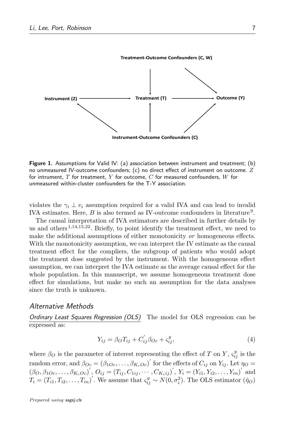<span id="page-6-0"></span>

Figure 1. Assumptions for Valid IV: (a) association between instrument and treatment; (b) no unmeasured IV-outcome confounders;  $(c)$  no direct effect of instrument on outcome.  $Z$ for intrument,  $T$  for treatment,  $Y$  for outcome,  $C$  for measured confounders,  $W$  for unmeasured within-cluster confounders for the T-Y association.

violates the  $\gamma_i \perp v_i$  assumption required for a valid IVA and can lead to invalid IVA estimates. Here,  $B$  is also termed as IV-outcome confounders in literature<sup>[9](#page-25-1)</sup>.

The causal interpretation of IVA estimators are described in further details by us and others<sup> $1,14,15,22$  $1,14,15,22$  $1,14,15,22$  $1,14,15,22$ </sup>. Briefly, to point identify the treatment effect, we need to make the additional assumptions of either monotonicity or homogeneous effects. With the monotonicity assumption, we can interpret the IV estimate as the causal treatment effect for the compliers, the subgroup of patients who would adopt the treatment dose suggested by the instrument. With the homogeneous effect assumption, we can interpret the IVA estimate as the average causal effect for the whole population. In this manuscript, we assume homogeneous treatment dose effect for simulations, but make no such an assumption for the data analyses since the truth is unknown.

## Alternative Methods

Ordinary Least Squares Regression (OLS) The model for OLS regression can be expressed as:

$$
Y_{ij} = \beta_O T_{ij} + C'_{ij} \beta_{Oc} + \varsigma_{ij}^y,\tag{4}
$$

where  $\beta_O$  is the parameter of interest representing the effect of T on Y,  $\varsigma_{ij}^y$  is the random error, and  $\beta_{Oc} = (\beta_{1Oc}, \dots, \beta_{K_cOc})'$  for the effects of  $C_{ij}$  on  $Y_{ij}$ . Let  $\eta_O =$  $(\beta_O, \beta_{1Oc}, \ldots, \beta_{K_cOc})'$ ,  $O_{ij} = (T_{ij}, C_{1ij}, \cdots, C_{K_cij})'$ ,  $Y_i = (Y_{i1}, Y_{i2}, \ldots, Y_{in})'$  and  $T_i = (T_{i1}, T_{i2}, \ldots, T_{in})'$ . We assume that  $\varsigma_{ij}^y \sim N(0, \sigma_{\varsigma}^2)$ . The OLS estimator  $(\hat{\eta}_O)$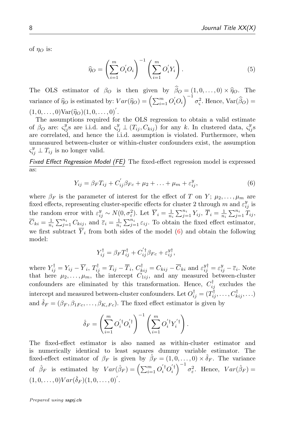of  $\eta_O$  is:

<span id="page-7-1"></span>
$$
\widehat{\eta}_O = \left(\sum_{i=1}^m O_i O_i\right)^{-1} \left(\sum_{i=1}^m O_i' Y_i\right). \tag{5}
$$

The OLS estimator of  $\beta_O$  is then given by  $\hat{\beta}_O = (1, 0, \dots, 0) \times \hat{\eta}_O$ . The variance of  $\hat{\eta}_O$  is estimated by:  $Var(\hat{\eta}_O) = \left(\sum_{i=1}^m O_i' O_i\right)^{-1} \sigma_{\varsigma}^2$ . Hence,  $Var(\hat{\beta}_O) =$  $(1, 0, \ldots, 0) \text{Var}(\hat{\eta}_O)(1, 0, \ldots, 0)'.$ <br>The assumptions required for

The assumptions required for the OLS regression to obtain a valid estimate of  $\beta_O$  are:  $\varsigma_{ij}^y$ s are i.i.d. and  $\varsigma_{ij}^y \perp (T_{ij}, C_{kij})$  for any k. In clustered data,  $\varsigma_{ij}^y$ s are correlated, and hence the i.i.d. assumption is violated. Furthermore, when unmeasured between-cluster or within-cluster confounders exist, the assumption  $\varsigma_{ij}^y \perp T_{ij}$  is no longer valid.

Fixed Effect Regression Model (FE) The fixed-effect regression model is expressed as:

<span id="page-7-0"></span>
$$
Y_{ij} = \beta_F T_{ij} + C'_{ij} \beta_{Fc} + \mu_2 + \ldots + \mu_m + \varepsilon_{ij}^y,
$$
\n(6)

where  $\beta_F$  is the parameter of interest for the effect of T on Y;  $\mu_2, \ldots, \mu_m$  are fixed effects, representing cluster-specific effects for cluster 2 through m and  $\varepsilon_{ij}^y$  is the random error with  $\varepsilon_{ij}^y \sim N(0, \sigma_{\varepsilon}^2)$ . Let  $\overline{Y}_i = \frac{1}{n_i} \sum_{j=1}^{n_i} Y_{ij}, \ \overline{T}_i = \frac{1}{n_i} \sum_{j=1}^{n_i} \overline{T}_{ij},$  $\overline{C}_{ki} = \frac{1}{n_i} \sum_{j=1}^{n_i} C_{kij}$ , and  $\overline{\varepsilon}_i = \frac{1}{n_i} \sum_{j=1}^{n_i} \varepsilon_{ij}$ . To obtain the fixed effect estimator, we first subtract  $\overline{Y}_i$  from both sides of the model [\(6\)](#page-7-0) and obtain the following model:

<span id="page-7-2"></span>
$$
Y_{ij}^{\dagger} = \beta_F T_{ij}^{\dagger} + C_{ij}^{'\dagger} \beta_{Fc} + \varepsilon_{ij}^{y\dagger},
$$

where  $Y_{ij}^{\dagger} = Y_{ij} - \overline{Y}_i$ ,  $T_{ij}^{\dagger} = T_{ij} - \overline{T}_i$ ,  $C_{kij}^{\dagger} = C_{kij} - \overline{C}_{ki}$  and  $\varepsilon_{ij}^{y\dagger} = \varepsilon_{ij}^y - \overline{\varepsilon}_i$ . Note that here  $\mu_2, \ldots, \mu_m$ , the intercept  $C_{1ij}$ , and any measured between-cluster confounders are eliminated by this transformation. Hence,  $C_{ij}^{\dagger}$  excludes the intercept and measured between-cluster confounders. Let  $O_{ij}^{\dagger} = (T_{ij}^{\dagger}, \ldots, C_{kij}^{\dagger}, \ldots)$ and  $\hat{\delta}_F = (\beta_F, \beta_{1Fc}, \dots, \beta_{K_cFc})$ . The fixed effect estimator is given by

$$
\hat{\delta}_F = \left(\sum_{i=1}^m O_i^{'\dagger} O_i^{'\dagger}\right)^{-1} \left(\sum_{i=1}^m O_i^{'\dagger} Y_i^{'\dagger}\right).
$$

The fixed-effect estimator is also named as within-cluster estimator and is numerically identical to least squares dummy variable estimator. The fixed-effect estimator of  $\beta_F$  is given by  $\hat{\beta}_F = (1, 0, \dots, 0) \times \hat{\delta}_F$ . The variance of  $\hat{\beta}_F$  is estimated by  $Var(\hat{\beta}_F) = \left(\sum_{i=1}^m O_i^{'}^{\dagger} O_i^{'}^{\dagger}\right)^{-1} \sigma_{\varepsilon}^2$ . Hence,  $Var(\hat{\beta}_F) =$  $(1, 0, \ldots, 0)Var(\hat{\delta}_F)(1, 0, \ldots, 0)^T$ .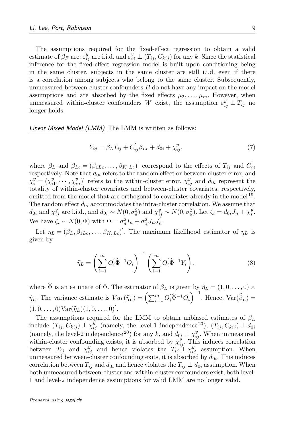The assumptions required for the fixed-effect regression to obtain a valid estimate of  $\beta_F$  are:  $\varepsilon_{ij}^y$  are i.i.d. and  $\varepsilon_{ij}^y \perp (T_{ij}, C_{kij})$  for any k. Since the statistical inference for the fixed-effect regression model is built upon conditioning being in the same cluster, subjects in the same cluster are still i.i.d. even if there is a correlation among subjects who belong to the same cluster. Subsequently, unmeasured between-cluster confounders B do not have any impact on the model assumptions and are absorbed by the fixed effects  $\mu_2, \ldots, \mu_m$ . However, when unmeasured within-cluster confounders W exist, the assumption  $\varepsilon_{ij}^y \perp T_{ij}$  no longer holds.

Linear Mixed Model (LMM) The LMM is written as follows:

$$
Y_{ij} = \beta_L T_{ij} + C'_{ij} \beta_{Lc} + d_{0i} + \chi_{ij}^y,
$$
\n(7)

where  $\beta_L$  and  $\beta_{Lc} = (\beta_{1Lc}, \dots, \beta_{K_cLc})'$  correspond to the effects of  $T_{ij}$  and  $C'_{ij}$ respectively. Note that  $d_{0i}$  refers to the random effect or between-cluster error, and  $\chi_i^y = (\chi_{i1}^y, \dots, \chi_{in}^y)'$  refers to the within-cluster error.  $\chi_{ij}^y$  and  $d_{0i}$  represent the totality of within-cluster covariates and between-cluster covariates, respectively, omitted from the model that are orthogonal to covariates already in the model<sup>[19](#page-25-9)</sup>. The random effect  $d_{0i}$  accommodates the intra-cluster correlation. We assume that  $d_{0i}$  and  $\chi_{ij}^y$  are i.i.d., and  $d_{0i} \sim N(0, \sigma_d^2)$  and  $\chi_{ij}^y \sim N(0, \sigma_{\chi}^2)$ . Let  $\zeta_i = d_{0i}J_n + \chi_i^y$ . We have  $\zeta_i \sim N(0, \Phi)$  with  $\Phi = \sigma_d^2 I_n + \sigma_\chi^2 J_n J_n'$ .

Let  $\eta_L = (\beta_L, \beta_{1Lc}, \dots, \beta_{K_cLc})'$ . The maximum likelihood estimator of  $\eta_L$  is given by

<span id="page-8-0"></span>
$$
\widehat{\eta}_L = \left(\sum_{i=1}^m O'_i \widehat{\Phi}^{-1} O_i\right)^{-1} \left(\sum_{i=1}^m O'_i \widehat{\Phi}^{-1} Y_i\right),\tag{8}
$$

where  $\widehat{\Phi}$  is an estimate of  $\Phi$ . The estimator of  $\beta_L$  is given by  $\hat{\eta}_L = (1, 0, \dots, 0) \times$  $\hat{\eta}_L$ . The variance estimate is  $Var(\hat{\eta}_L) = \left(\sum_{i=1}^m O_i' \hat{\Phi}^{-1} O_i\right)^{-1}$ . Hence,  $Var(\hat{\beta}_L) =$  $(1, 0, \ldots, 0) \text{Var}(\hat{\eta}_L) (1, 0, \ldots, 0)'.$ 

The assumptions required for the LMM to obtain unbiased estimates of  $\beta_L$ include  $(T_{ij}, C_{kij}) \perp \chi_{ij}^{y}$  (namely, the level-1 independence  $^{20}$  $^{20}$  $^{20}$ ),  $(T_{ij}, C_{kij}) \perp d_{0i}$ (namely, the level-2 independence <sup>[20](#page-25-10)</sup>) for any k, and  $d_{0i} \perp \chi_{ij}^y$ . When unmeasured within-cluster confounding exists, it is absorbed by  $\chi_{ij}^y$ . This induces correlation between  $T_{ij}$  and  $\chi_{ij}^y$  and hence violates the  $T_{ij} \perp \chi_{ij}^y$  assumption. When unmeasured between-cluster confounding exits, it is absorbed by  $d_{0i}$ . This induces correlation between  $T_{ij}$  and  $d_{0i}$  and hence violates the  $T_{ij} \perp d_{0i}$  assumption. When both unmeasured between-cluster and within-cluster confounders exist, both level-1 and level-2 independence assumptions for valid LMM are no longer valid.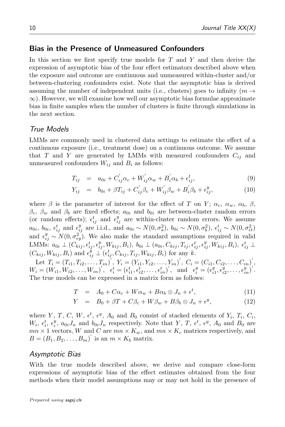## Bias in the Presence of Unmeasured Confounders

In this section we first specify true models for  $T$  and  $Y$  and then derive the expression of asymptotic bias of the four effect estimators described above when the exposure and outcome are continuous and unmeasured within-cluster and/or between-clustering confounders exist. Note that the asymptotic bias is derived assuming the number of independent units (i.e., clusters) goes to infinity ( $m \rightarrow$  $\infty$ ). However, we will examine how well our asymptotic bias formulae approximate bias in finite samples when the number of clusters is finite through simulations in the next section.

## True Models

LMMs are commonly used in clustered data settings to estimate the effect of a continuous exposure (i.e., treatment dose) on a continuous outcome. We assume that T and Y are generated by LMMs with measured confounders  $C_{ij}$  and unmeasured confounders  $W_{ij}$  and  $B_i$  as follows:

<span id="page-9-1"></span>
$$
T_{ij} = a_{0i} + C'_{ij}\alpha_c + W'_{ij}\alpha_w + B'_i\alpha_b + \epsilon^t_{ij},
$$
\n(9)

$$
Y_{ij} = b_{0i} + \beta T_{ij} + C'_{ij}\beta_c + W'_{ij}\beta_w + B'_i\beta_b + \epsilon^y_{ij},
$$
 (10)

where  $\beta$  is the parameter of interest for the effect of T on Y;  $\alpha_c$ ,  $\alpha_w$ ,  $\alpha_b$ ,  $\beta$ ,  $\beta_c$ ,  $\beta_w$  and  $\beta_b$  are fixed effects;  $a_{0i}$  and  $b_{0i}$  are between-cluster random errors (or random effects);  $\epsilon_{ij}^t$  and  $\epsilon_{ij}^y$  are within-cluster random errors. We assume  $a_{0i}, b_{0i}, \epsilon_{ij}^t$  and  $\epsilon_{ij}^y$  are i.i.d., and  $a_{0i} \sim N(0, \sigma_a^2)$ ,  $b_{0i} \sim N(0, \sigma_b^2)$ ,  $\epsilon_{ij}^t \sim N(0, \sigma_{et}^2)$ and  $\epsilon_{ij}^y \sim N(0, \sigma_{ey}^2)$ . We also make the standard assumptions required in valid LMMs:  $a_{0i} \perp (C_{kij}, \epsilon_{ij}^t, \epsilon_{ij}^y, W_{kij}, B_i), b_{0i} \perp (a_{0i}, C_{kij}, T_{ij}, \epsilon_{ij}^t, \epsilon_{ij}^y, W_{kij}, B_i), \ \epsilon_{ij}^t \perp$  $(C_{kij}, W_{kij}, B_i)$  and  $\epsilon_{ij}^{y} \perp (\epsilon_{ij}^t, C_{kij}, T_{ij}, W_{kij}, B_i)$  for any k.

Let  $T_i = (T_{i1}, T_{i2}, \ldots, T_{in})^{'}, Y_i = (Y_{i1}, Y_{i2}, \ldots, Y_{in})^{'}, C_i = (C_{i1}, C_{i2}, \ldots, C_{in})^{'},$  $W_i = (W_{i1}, W_{i2}, \ldots, W_{in})', \quad \epsilon_i^t = (\epsilon_{i1}^t, \epsilon_{i2}^t, \ldots, \epsilon_{in}^t)', \text{ and } \epsilon_i^y = (\epsilon_{i1}^y, \epsilon_{i2}^y, \ldots, \epsilon_{in}^y)',$ The true models can be expressed in a matrix form as follows:

<span id="page-9-0"></span>
$$
T = A_0 + C\alpha_c + W\alpha_w + B\alpha_b \otimes J_n + \epsilon^t, \tag{11}
$$

$$
Y = B_0 + \beta T + C\beta_c + W\beta_w + B\beta_b \otimes J_n + \epsilon^y, \qquad (12)
$$

where Y, T, C, W,  $\epsilon^t$ ,  $\epsilon^y$ ,  $A_0$  and  $B_0$  consist of stacked elements of  $Y_i$ ,  $T_i$ ,  $C_i$ ,  $W_i, \epsilon_i^t, \epsilon_i^y, a_{0i}J_n$  and  $b_{0i}J_n$  respectively. Note that Y, T,  $\epsilon^t, \epsilon^y, A_0$  and  $B_0$  are  $mn \times 1$  vectors, W and C are  $mn \times K_w$ , and  $mn \times K_c$  matrices respectively, and  $B = (B_1, B_2, \ldots, B_m)'$  is an  $m \times K_b$  matrix.

## Asymptotic Bias

With the true models described above, we derive and compare close-form expressions of asymptotic bias of the effect estimates obtained from the four methods when their model assumptions may or may not hold in the presence of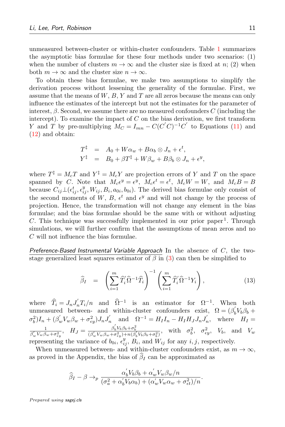unmeasured between-cluster or within-cluster confounders. Table [1](#page-11-0) summarizes the asymptotic bias formulae for these four methods under two scenarios: (1) when the number of clusters  $m \to \infty$  and the cluster size is fixed at n; (2) when both  $m \to \infty$  and the cluster size  $n \to \infty$ .

To obtain these bias formulae, we make two assumptions to simplify the derivation process without lessening the generality of the formulae. First, we assume that the means of  $W, B, Y$  and  $T$  are all zeros because the means can only influence the estimates of the intercept but not the estimates for the parameter of interest,  $\beta$ . Second, we assume there are no measured confounders C (including the intercept). To examine the impact of  $C$  on the bias derivation, we first transform Y and T by pre-multiplying  $M_C = I_{mn} - C(C'C)^{-1}C'$  to Equations [\(11\)](#page-9-0) and [\(12\)](#page-9-0) and obtain:

<span id="page-10-1"></span>
$$
T^{\ddagger} = A_0 + W\alpha_w + B\alpha_b \otimes J_n + \epsilon^t,
$$
  
\n
$$
Y^{\ddagger} = B_0 + \beta T^{\ddagger} + W\beta_w + B\beta_b \otimes J_n + \epsilon^y,
$$

where  $T^{\ddagger} = M_c T$  and  $Y^{\ddagger} = M_c Y$  are projection errors of Y and T on the space spanned by C. Note that  $M_c \epsilon^y = \epsilon^y$ ,  $M_c \epsilon^t = \epsilon^t$ ,  $M_c W = W$ , and  $M_c B = B$ because  $C_{ij} \bot (\epsilon_{ij}^t, \epsilon_{ij}^y, W_{ij}, B_i, a_{0i}, b_{0i})$ . The derived bias formulae only consist of the second moments of W, B,  $\epsilon^t$  and  $\epsilon^y$  and will not change by the process of projection. Hence, the transformation will not change any element in the bias formulae; and the bias formulae should be the same with or without adjusting C. This technique was successfully implemented in our prior paper<sup>[1](#page-24-0)</sup>. Through simulations, we will further confirm that the assumptions of mean zeros and no C will not influence the bias formulae.

Preference-Based Instrumental Variable Approach In the absence of  $C$ , the twostage generalized least squares estimator of  $\beta$  in [\(3\)](#page-5-0) can then be simplified to

$$
\widehat{\beta}_I = \left(\sum_{i=1}^m \widehat{T}_i' \widehat{\Omega}^{-1} \widehat{T}_i\right)^{-1} \left(\sum_{i=1}^m \widehat{T}_i' \widehat{\Omega}^{-1} Y_i\right),\tag{13}
$$

where  $\hat{T}_i = J_n J'_n T_i/n$  and  $\hat{\Omega}^{-1}$  is an estimator for  $\Omega^{-1}$ . When both unmeasured between- and within-cluster confounders exist,  $\Omega = (\beta_b V_b \beta_b +$  $\sigma_b^2 I_n + (\beta_w' V_w \beta_w + \sigma_{ey}^2) J_n J'_n$  and  $\Omega^{-1} = H_I I_n - H_I H_J J_n J'_n$ , where  $H_I =$ 1  $\frac{1}{\beta'_w V_w \beta_w + \sigma_{\epsilon y}^2}$ ,  $H_J = \frac{\beta'_b V_b \beta_b + \sigma_b^2}{(\beta'_w V_w \beta_w + \sigma_{\epsilon y}^2) + n(\beta'_b V_b \beta_b + \sigma_b^2)}$ , with  $\sigma_b^2$ ,  $\sigma_{\epsilon y}^2$ ,  $V_b$ , and  $V_w$ representing the variance of  $b_{0i}, \epsilon_{ij}^y, B_i$ , and  $W_{ij}$  for any i, j, respectively.

When unmeasured between- and within-cluster confounders exist, as  $m \to \infty$ , as proved in the Appendix, the bias of  $\beta_I$  can be approximated as

<span id="page-10-0"></span>
$$
\widehat{\beta}_I - \beta \to_p \frac{\alpha_b^{'} V_b \beta_b + \alpha_w^{'} V_w \beta_w / n}{(\sigma_a^2 + \alpha_b^{'} V_b \alpha_b) + (\alpha_w^{'} V_w \alpha_w + \sigma_{\epsilon t}^2) / n}.
$$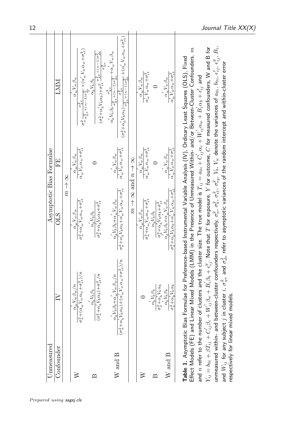<span id="page-11-0"></span>

| Jnmeasured                            |                                                                                                                                                                                                                                                                                                                                           | Asymptotic Bias Formulae                                                                                                                                              |                                                                                   |                                                                                                                                                                                                                                                                                                                                                                                                                                                                                                                                                                                                                                               |
|---------------------------------------|-------------------------------------------------------------------------------------------------------------------------------------------------------------------------------------------------------------------------------------------------------------------------------------------------------------------------------------------|-----------------------------------------------------------------------------------------------------------------------------------------------------------------------|-----------------------------------------------------------------------------------|-----------------------------------------------------------------------------------------------------------------------------------------------------------------------------------------------------------------------------------------------------------------------------------------------------------------------------------------------------------------------------------------------------------------------------------------------------------------------------------------------------------------------------------------------------------------------------------------------------------------------------------------------|
| Confounder                            | $\geq$                                                                                                                                                                                                                                                                                                                                    | ОLS                                                                                                                                                                   | EE                                                                                | LMM                                                                                                                                                                                                                                                                                                                                                                                                                                                                                                                                                                                                                                           |
|                                       |                                                                                                                                                                                                                                                                                                                                           | $\frac{8}{3}$                                                                                                                                                         |                                                                                   |                                                                                                                                                                                                                                                                                                                                                                                                                                                                                                                                                                                                                                               |
| ≅                                     | $\sigma_a^2 + (\alpha_w' \, V_w \, \alpha_w + \sigma_{\epsilon t}^2)/n$<br>$\alpha'_m V_w \beta_w/n$                                                                                                                                                                                                                                      | $\sigma_a^2+\alpha_w'V_w\alpha_w+\sigma_{\epsilon t}^2$<br>$\alpha_w V_w \beta_w$                                                                                     | $\alpha'_w V_w \alpha_w + \sigma_{\epsilon t}^2$<br>$\alpha_w V_w \beta_w$        | $\sigma^2_a \frac{\times \kappa}{\sigma^2_X e + (n-1)\sigma^2_{d\epsilon}} + (\alpha'_w V_w \alpha_w + \sigma^2_{\epsilon t})$<br>$\alpha_w V_w \beta_w$<br>$\sigma^2_{\chi e}$                                                                                                                                                                                                                                                                                                                                                                                                                                                               |
| മ                                     | $(\sigma_a^2+\alpha_b^\prime\,V_b\,\alpha_b)+\sigma_{\epsilon t}^2/n$<br>$\alpha'_h V_b \beta_b$                                                                                                                                                                                                                                          | $\sigma_a^2+\alpha_b^{'}V_b\alpha_b+\sigma_{\epsilon t}^2$<br>$\alpha^{'}_b V_b \beta_b$                                                                              | 0                                                                                 | $(\sigma_a^2+\alpha_b^\prime V_b\alpha_b)+\sigma_{\epsilon t}^2\frac{\sigma_{\chi e}^2+(\bar{n-1})\sigma_{de}^2}{\sigma^2}$<br>$\alpha'_b V_b \beta_b$                                                                                                                                                                                                                                                                                                                                                                                                                                                                                        |
| $W$ and $B$                           | $(\sigma_a^2+\alpha_b^\prime V_b\,\alpha_b)+(\alpha_w^\prime V_w\,\alpha_w+\sigma_{\epsilon t}^2)/n$<br>$\alpha'_h V_b \beta_b + \alpha'_{w} V_w \beta_w / n$                                                                                                                                                                             | $\sigma_a^2 + \alpha_b^\prime V_b \alpha_b + \alpha_w^\prime V_w \alpha_w + \sigma_{\epsilon t}^2$<br>$\alpha^{'}_h V_b \beta_b + \alpha^{'}_w V_w \beta_w$           | $\alpha'_w V_w \alpha_w + \sigma_{\epsilon t}^2$<br>$\alpha_w^\prime V_w \beta_w$ | $(\sigma_a^2+\alpha_b^\prime V_b \alpha_b) \frac{\sigma_\chi^2 e}{\sigma_\chi^2 e+(\bar{n}-1)\sigma_{de}^2} + (\alpha_w^\prime V_w \alpha_w + \sigma_{et}^2)$<br>$\alpha_b^\prime V_b \, \beta_b \frac{\sigma_\chi^2 e}{\sigma_\chi^2 e + (n-1) \sigma_{de}^2} + \alpha_w^\prime V_w \beta_w$                                                                                                                                                                                                                                                                                                                                                 |
|                                       |                                                                                                                                                                                                                                                                                                                                           | $m \rightarrow n$ and $n \rightarrow n$                                                                                                                               |                                                                                   |                                                                                                                                                                                                                                                                                                                                                                                                                                                                                                                                                                                                                                               |
| ≥                                     |                                                                                                                                                                                                                                                                                                                                           | $\sigma_a^2+\alpha_w^{'}V_w\alpha_w+\sigma_{\epsilon t}^2$<br>$\alpha_w V_w \beta_w$                                                                                  | $\alpha'_w V_w \alpha_w + \sigma_{\epsilon t}^2$<br>$\alpha_w V_w \beta_w$        | $\alpha'_w V_w \alpha_w + \sigma^2_{\epsilon t}$<br>$\alpha_w V_w \beta_w$                                                                                                                                                                                                                                                                                                                                                                                                                                                                                                                                                                    |
| മ                                     | $\sigma_a^2 + \alpha_b' V_b \alpha_b$<br>$\alpha^{'}_b V_b \beta_b$                                                                                                                                                                                                                                                                       | $\sigma_a^2+\alpha_b^{'}V_b\alpha_b+\sigma_{\epsilon t}^2$<br>$\alpha_h^{\cdot} V_b \beta_b$                                                                          | $\circ$                                                                           | $\circ$                                                                                                                                                                                                                                                                                                                                                                                                                                                                                                                                                                                                                                       |
| $\ensuremath{W}$ and $\ensuremath{B}$ | $\sigma_a^2 + \alpha'_b V_b \alpha_b$<br>$\alpha_b^\prime V_b \beta_b$                                                                                                                                                                                                                                                                    | $\sigma_a^2 + \alpha_b^{\prime} V_b \alpha_b + \alpha_w^{\prime} V_w \alpha_w + \sigma_{\epsilon t}^2$<br>$\alpha_b^\prime V_b \beta_b + \alpha_w^\prime V_w \beta_w$ | $\alpha'_w V_w \alpha_w + \sigma^2_{et}$<br>$\alpha_w^\prime V_w \beta_w$         | $\alpha'_w V_w \alpha_w + \sigma^2_{\epsilon t}$<br>$\alpha_w^\prime V_w \beta_w$                                                                                                                                                                                                                                                                                                                                                                                                                                                                                                                                                             |
| unmeasured within- and                | and $W_{ij}$ for any subject $j$ in cluster $i$ , $\sigma_{\chi e}^2$ and $\sigma_{de}^2$ refer to asymptotic variances of the random intercept and within-cluster error<br>and $n$ refer to the number of clusters and the cluster size. The true model is $T_{ij}=a_{0i}+C_{ij}\alpha_c+W_{ij}\alpha_w+B_i\alpha_b+\epsilon_{ij}^k$ and |                                                                                                                                                                       |                                                                                   | between-cluster confounders respectively, $\sigma_a^2$ , $\sigma_b^2$ , $\sigma_{e_i}^2$ , $\sigma_e^2$ , $V_w$ denote the variances of $a_{0i}$ , $b_{0i}$ , $\epsilon_{ij}^t$ , $e_{ij}^y$ , $B_i$ ,<br>$Y_{ij}=b_{0i}+\beta T_{ij}+C'_{ij}\beta_c+W'_{ij}\beta_w+B'_i\beta_b+\epsilon^y_{ij}$ . Note that $T$ for exposure, $Y$ for outcome, $C$ for measured confounders, ${\sf W}$ and ${\sf B}$ for<br>Table 1. Asymptotic Bias Formulae for Preference-based Instrumental Variable Analysis (IV), Ordinary Least Squares (OLS), Fixed<br>Effect Models (FE) and Linear Mixed Models (LMM) in the Presence of Unmeasured Within- and/or |
|                                       | respectively for linear mixed models.                                                                                                                                                                                                                                                                                                     |                                                                                                                                                                       |                                                                                   |                                                                                                                                                                                                                                                                                                                                                                                                                                                                                                                                                                                                                                               |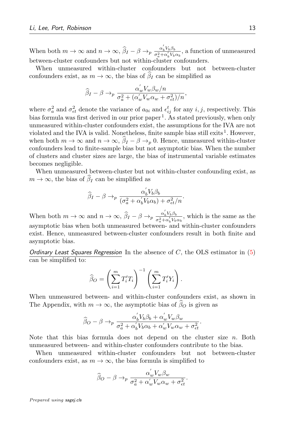When both  $m \to \infty$  and  $n \to \infty$ ,  $\widehat{\beta}_I - \beta \to_p \frac{\alpha'_b V_b \beta_b}{\sigma_a^2 + \alpha'_b V_b}$  $\frac{\alpha_b v_b \beta_b}{\sigma_a^2 + \alpha_b' V_b \alpha_b}$ , a function of unmeasured between-cluster confounders but not within-cluster confounders.

When unmeasured within-cluster confounders but not between-cluster confounders exist, as  $m \to \infty$ , the bias of  $\beta_I$  can be simplified as

$$
\widehat{\beta}_I - \beta \to_p \frac{\alpha_w' V_w \beta_w / n}{\sigma_a^2 + (\alpha_w' V_w \alpha_w + \sigma_{\epsilon t}^2) / n},
$$

where  $\sigma_a^2$  and  $\sigma_{\epsilon t}^2$  denote the variance of  $a_{0i}$  and  $\epsilon_{ij}^t$  for any  $i, j$ , respectively. This bias formula was first derived in our prior paper<sup>[1](#page-24-0)</sup>. As stated previously, when only unmeasured within-cluster confounders exist, the assumptions for the IVA are not violated and the IVA is valid. Nonetheless, finite sample bias still exits  $^1$  $^1$ . However, when both  $m \to \infty$  and  $n \to \infty$ ,  $\hat{\beta}_I - \beta \to_p 0$ . Hence, unmeasured within-cluster confounders lead to finite-sample bias but not asymptotic bias. When the number of clusters and cluster sizes are large, the bias of instrumental variable estimates becomes negligible.

When unmeasured between-cluster but not within-cluster confounding exist, as  $m \to \infty$ , the bias of  $\hat{\beta}_I$  can be simplified as

$$
\widehat{\beta}_I - \beta \to_p \frac{\alpha_b' V_b \beta_b}{(\sigma_a^2 + \alpha_b' V_b \alpha_b) + \sigma_{et}^2/n}.
$$

When both  $m \to \infty$  and  $n \to \infty$ ,  $\widehat{\beta}_I - \beta \to_p \frac{\alpha'_b V_b \beta_b}{\sigma_a^2 + \alpha'_b V_b}$  $\frac{\alpha_b v_b \beta_b}{\sigma_a^2 + \alpha'_b V_b \alpha_b}$ , which is the same as the asymptotic bias when both unmeasured between- and within-cluster confounders exist. Hence, unmeasured between-cluster confounders result in both finite and asymptotic bias.

Ordinary Least Squares Regression In the absence of  $C$ , the OLS estimator in [\(5\)](#page-7-1) can be simplified to:

$$
\widehat{\beta}_O = \left(\sum_{i=1}^m T'_i T_i\right)^{-1} \left(\sum_{i=1}^m T'_i Y_i\right).
$$

When unmeasured between- and within-cluster confounders exist, as shown in The Appendix, with  $m \to \infty$ , the asymptotic bias of  $\widehat{\beta}_O$  is given as

$$
\widehat{\beta}_O - \beta \rightarrow_p \frac{\alpha_b^{'} V_b \beta_b + \alpha_w^{'} V_w \beta_w}{\sigma_a^2 + \alpha_b^{'} V_b \alpha_b + \alpha_w^{'} V_w \alpha_w + \sigma_{\epsilon t}^2}.
$$

Note that this bias formula does not depend on the cluster size  $n$ . Both unmeasured between- and within-cluster confounders contribute to the bias.

When unmeasured within-cluster confounders but not between-cluster confounders exist, as  $m \to \infty$ , the bias formula is simplified to

$$
\widehat{\beta}_O - \beta \rightarrow_p \frac{\alpha_w' V_w \beta_w}{\sigma_a^2 + \alpha_w' V_w \alpha_w + \sigma_{\epsilon t}^2}.
$$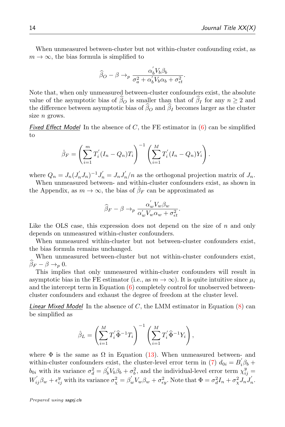When unmeasured between-cluster but not within-cluster confounding exist, as  $m \to \infty$ , the bias formula is simplified to

$$
\widehat{\beta}_O - \beta \rightarrow_p \frac{\alpha_b^{'} V_b \beta_b}{\sigma_a^2 + \alpha_b^{'} V_b \alpha_b + \sigma_{\epsilon t}^2}.
$$

Note that, when only unmeasured between-cluster confounders exist, the absolute value of the asymptotic bias of  $\widehat{\beta}_O$  is smaller than that of  $\widehat{\beta}_I$  for any  $n \geq 2$  and the difference between asymptotic bias of  $\widehat{\beta}_O$  and  $\widehat{\beta}_I$  becomes larger as the cluster size *n* grows.

Fixed Effect Model In the absence of C, the FE estimator in  $(6)$  can be simplified to

$$
\hat{\beta}_F = \left(\sum_{i=1}^m T'_i (I_n - Q_n) T_i\right)^{-1} \left(\sum_{i=1}^M T'_i (I_n - Q_n) Y_i\right).
$$

where  $Q_n = J_n (J'_n J_n)^{-1} J'_n = J_n J'_n/n$  as the orthogonal projection matrix of  $J_n$ . When unmeasured between- and within-cluster confounders exist, as shown in

the Appendix, as  $m \to \infty$ , the bias of  $\hat{\beta}_F$  can be approximated as

$$
\widehat{\beta}_F - \beta \to_p \frac{\alpha_w' V_w \beta_w}{\alpha_w' V_w \alpha_w + \sigma_{\epsilon t}^2}.
$$

Like the OLS case, this expression does not depend on the size of  $n$  and only depends on unmeasured within-cluster confounders.

When unmeasured within-cluster but not between-cluster confounders exist, the bias formula remains unchanged.

When unmeasured between-cluster but not within-cluster confounders exist,  $\beta_F - \beta \rightarrow_p 0$ .

This implies that only unmeasured within-cluster confounders will result in asymptotic bias in the FE estimator (i.e., as  $m \to \infty$ ). It is quite intuitive since  $\mu_i$ and the intercept term in Equation [\(6\)](#page-7-0) completely control for unobserved betweencluster confounders and exhaust the degree of freedom at the cluster level.

*Linear Mixed Model* In the absence of  $C$ , the LMM estimator in Equation  $(8)$  can be simplified as

$$
\hat{\beta}_L = \left(\sum_{i=1}^M T_i' \hat{\Phi}^{-1} T_i\right)^{-1} \left(\sum_{i=1}^M T_i' \hat{\Phi}^{-1} Y_i\right),\,
$$

where  $\Phi$  is the same as  $\Omega$  in Equation [\(13\)](#page-10-1). When unmeasured between- and within-cluster confounders exist, the cluster-level error term in [\(7\)](#page-7-2)  $d_{0i} = B_i' \beta_b +$  $b_{0i}$  with its variance  $\sigma_d^2 = \beta_b' V_b \beta_b + \sigma_b^2$ , and the individual-level error term  $\chi_{ij}^y =$  $W'_{ij}\beta_w + \epsilon_{ij}^y$  with its variance  $\sigma_{\chi}^2 = \beta_w'V_w\beta_w + \sigma_{\epsilon y}^2$ . Note that  $\Phi = \sigma_d^2 I_n + \sigma_{\chi}^2 J_n J'_n$ .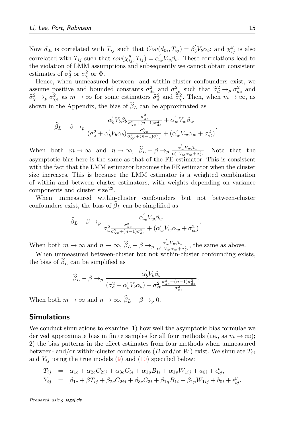Now  $d_{0i}$  is correlated with  $T_{ij}$  such that  $Cov(d_{0i}, T_{ij}) = \beta'_b V_b \alpha_b$ ; and  $\chi_{ij}^y$  is also correlated with  $T_{ij}$  such that  $cov(\chi_{ij}^y, T_{ij}) = \alpha_w' V_w \beta_w$ . These correlations lead to the violation of LMM assumptions and subsequently we cannot obtain consistent estimates of  $\sigma_d^2$  or  $\sigma_\chi^2$  or  $\Phi$ .

Hence, when unmeasured between- and within-cluster confounders exist, we assume positive and bounded constants  $\sigma_{de}^2$  and  $\sigma_{\chi}^2$  such that  $\hat{\sigma}_d^2 \rightarrow_p \sigma_{de}^2$  and  $\hat{\sigma}_d^2 \rightarrow \sigma^2$  as  $m \rightarrow \infty$  for some estimators  $\hat{\sigma}_d^2$  and  $\hat{\sigma}_d^2$ . Then, when  $m \rightarrow \infty$  as  $\hat{\sigma}_\chi^2 \to_p \sigma_{\chi e}^2$  as  $m \to \infty$  for some estimators  $\hat{\sigma}_d^2$  and  $\hat{\sigma}_\chi^2$ . Then, when  $m \to \infty$ , as shown in the Appendix, the bias of  $\widehat{\beta}_L$  can be approximated as

$$
\widehat{\beta}_L - \beta \rightarrow_p \frac{\alpha_b^{'} V_b \beta_b \frac{\sigma_{\chi e}^2}{\sigma_{\chi e}^2 + (n-1)\sigma_{de}^2} + \alpha_w^{'} V_w \beta_w}{(\sigma_a^2 + \alpha_b^{'} V_b \alpha_b) \frac{\sigma_{\chi e}^2}{\sigma_{\chi e}^2 + (n-1)\sigma_{de}^2} + (\alpha_w^{'} V_w \alpha_w + \sigma_{\epsilon t}^2)}.
$$

When both  $m \to \infty$  and  $n \to \infty$ ,  $\widehat{\beta}_L - \beta \to_p \frac{\alpha_w' V_w \beta_w}{\alpha_w' V_w \alpha_w + \sigma_{\epsilon t}^2}$ . Note that the asymptotic bias here is the same as that of the FE estimator. This is consistent with the fact that the LMM estimator becomes the FE estimator when the cluster size increases. This is because the LMM estimator is a weighted combination of within and between cluster estimators, with weights depending on variance components and cluster size<sup>[23](#page-25-11)</sup>.

When unmeasured within-cluster confounders but not between-cluster confounders exist, the bias of  $\widehat{\beta}_L$  can be simplified as

$$
\widehat{\beta}_L - \beta \to_p \frac{\alpha_w' V_w \beta_w}{\sigma_a^2 \frac{\sigma_{\chi_e}^2}{\sigma_{\chi_e}^2 + (n-1)\sigma_{de}^2} + (\alpha_w' V_w \alpha_w + \sigma_{\epsilon t}^2)}.
$$

When both  $m \to \infty$  and  $n \to \infty$ ,  $\widehat{\beta}_L - \beta \to_p \frac{\alpha_w' V_w \beta_w}{\alpha_w' V_w \alpha_w + \sigma_{\epsilon t}^2}$ , the same as above.

When unmeasured between-cluster but not within-cluster confounding exists, the bias of  $\beta_L$  can be simplified as

$$
\widehat{\beta}_L - \beta \to_p \frac{\alpha_b^{'} V_b \beta_b}{(\sigma_a^2 + \alpha_b^{'} V_b \alpha_b) + \sigma_{\epsilon t}^2 \frac{\sigma_{\chi e}^2 + (n-1)\sigma_{d\epsilon}^2}{\sigma_{\chi e}^2}}.
$$

When both  $m \to \infty$  and  $n \to \infty$ ,  $\widehat{\beta}_L - \beta \to_p 0$ .

## **Simulations**

We conduct simulations to examine: 1) how well the asymptotic bias formulae we derived approximate bias in finite samples for all four methods (i.e., as  $m \to \infty$ ); 2) the bias patterns in the effect estimates from four methods when unmeasured between- and/or within-cluster confounders (B and/or W) exist. We simulate  $T_{ij}$ and  $Y_{ij}$  using the true models [\(9\)](#page-9-1) and [\(10\)](#page-9-1) specified below:

$$
T_{ij} = \alpha_{1c} + \alpha_{2c}C_{2ij} + \alpha_{3c}C_{3i} + \alpha_{1g}B_{1i} + \alpha_{1p}W_{1ij} + a_{0i} + \epsilon_{ij}^{t},
$$
  
\n
$$
Y_{ij} = \beta_{1c} + \beta T_{ij} + \beta_{2c}C_{2ij} + \beta_{3c}C_{3i} + \beta_{1g}B_{1i} + \beta_{1p}W_{1ij} + b_{0i} + \epsilon_{ij}^{y}.
$$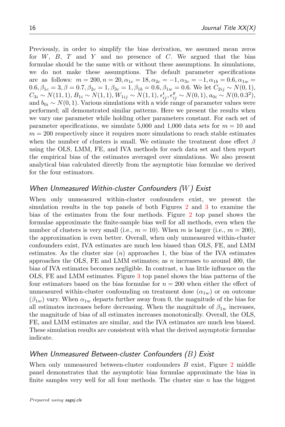Previously, in order to simplify the bias derivation, we assumed mean zeros for  $W$ ,  $B$ ,  $T$  and  $Y$  and no presence of  $C$ . We argued that the bias formulae should be the same with or without these assumptions. In simulations, we do not make these assumptions. The default parameter specifications are as follows:  $m = 200, n = 20, \alpha_{1c} = 18, \alpha_{2c} = -1, \alpha_{3c} = -1, \alpha_{1b} = 0.6, \alpha_{1w} = 0.6$  $0.6, \beta_{1c} = 3, \beta = 0.7, \beta_{2c} = 1, \beta_{3c} = 1, \beta_{1b} = 0.6, \beta_{1w} = 0.6$ . We let  $C_{2ij} \sim N(0, 1)$ ,  $C_{3i} \sim N(11, 1), B_{1i} \sim N(1, 1), W_{1ij} \sim N(1, 1), \epsilon_{ij}^{t}, \epsilon_{ij}^{y} \sim N(0, 1), a_{0i} \sim N(0, 0.3^{2}),$ and  $b_{0i} \sim N(0, 1)$ . Various simulations with a wide range of parameter values were performed; all demonstrated similar patterns. Here we present the results when we vary one parameter while holding other parameters constant. For each set of parameter specifications, we simulate 5,000 and 1,000 data sets for  $m = 10$  and  $m = 200$  respectively since it requires more simulations to reach stable estimates when the number of clusters is small. We estimate the treatment dose effect  $\beta$ using the OLS, LMM, FE, and IVA methods for each data set and then report the empirical bias of the estimates averaged over simulations. We also present analytical bias calculated directly from the asymptotic bias formulae we derived for the four estimators.

## When Unmeasured Within-cluster Confounders  $(W)$  Exist

When only unmeasured within-cluster confounders exist, we present the simulation results in the top panels of both Figures [2](#page-16-0) and [3](#page-17-0) to examine the bias of the estimates from the four methods. Figure [2](#page-16-0) top panel shows the formulae approximate the finite-sample bias well for all methods, even when the number of clusters is very small (i.e.,  $m = 10$ ). When m is larger (i.e.,  $m = 200$ ), the approximation is even better. Overall, when only unmeasured within-cluster confounders exist, IVA estimates are much less biased than OLS, FE, and LMM estimates. As the cluster size  $(n)$  approaches 1, the bias of the IVA estimates approaches the OLS, FE and LMM estimates; as  $n$  increases to around 400, the bias of IVA estimates becomes negligible. In contrast, n has little influence on the OLS, FE and LMM estimates. Figure [3](#page-17-0) top panel shows the bias patterns of the four estimators based on the bias formulae for  $n = 200$  when either the effect of unmeasured within-cluster confounding on treatment dose  $(\alpha_{1w})$  or on outcome  $(\beta_{1w})$  vary. When  $\alpha_{1w}$  departs further away from 0, the magnitude of the bias for all estimates increases before decreasing. When the magnitude of  $\beta_{1w}$  increases, the magnitude of bias of all estimates increases monotonically. Overall, the OLS, FE, and LMM estimates are similar, and the IVA estimates are much less biased. These simulation results are consistent with what the derived asymptotic formulae indicate.

# When Unmeasured Between-cluster Confounders  $(B)$  Exist

When only unmeasured between-cluster confounders  $B$  exist, Figure [2](#page-16-0) middle panel demonstrates that the asymptotic bias formulae approximate the bias in finite samples very well for all four methods. The cluster size  $n$  has the biggest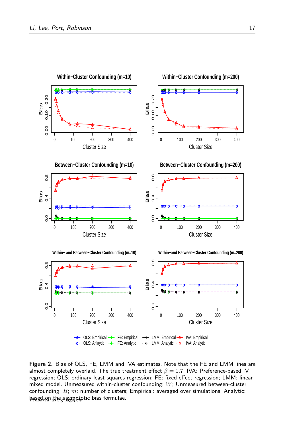<span id="page-16-0"></span>

Figure 2. Bias of OLS, FE, LMM and IVA estimates. Note that the FE and LMM lines are almost completely overlaid. The true treatment effect  $\beta = 0.7$ . IVA: Preference-based IV regression; OLS: ordinary least squares regression; FE: fixed effect regression; LMM: linear mixed model. Unmeasured within-cluster confounding:  $W$ ; Unmeasured between-cluster confounding:  $B$ ;  $m$ : number of clusters; Empirical: averaged over simulations; Analytic:  $b$ ased on the asymptotic bias formulae.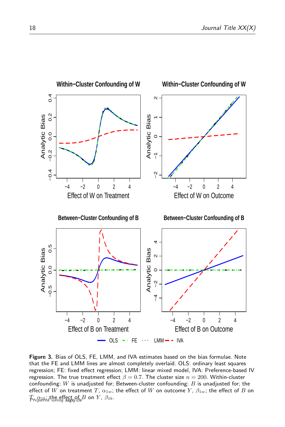<span id="page-17-0"></span>

Figure 3. Bias of OLS, FE, LMM, and IVA estimates based on the bias formulae. Note that the FE and LMM lines are almost completely overlaid. OLS: ordinary least squares regression; FE: fixed effect regression; LMM: linear mixed model, IVA: Preference-based IV regression. The true treatment effect  $\beta = 0.7$ . The cluster size  $n = 200$ . Within-cluster confounding: W is unadjusted for; Between-cluster confounding:  $B$  is unadjusted for; the effect of W on treatment T,  $\alpha_{1w}$ ; the effect of W on outcome Y,  $\beta_{1w}$ ; the effect of B on  $\mathcal{F}_{t}$   $\alpha_{d}$   $\mathcal{F}_{t}$   $\alpha_{d}$   $\mathcal{F}_{t}$  are the effect of  $B$  on  $Y$ ,  $\beta_{1b}$ .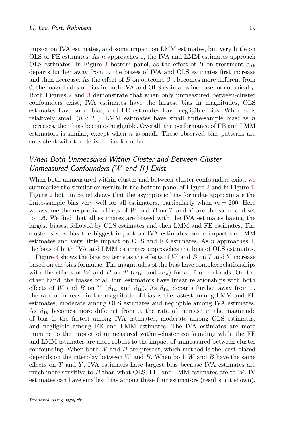impact on IVA estimates, and some impact on LMM estimates, but very little on OLS or FE estimates. As n approaches 1, the IVA and LMM estimates approach OLS estimates. In Figure [3](#page-17-0) bottom panel, as the effect of B on treatment  $\alpha_{1b}$ departs further away from 0, the biases of IVA and OLS estimates first increase and then decrease. As the effect of B on outcome  $\beta_{1b}$  becomes more different from 0, the magnitudes of bias in both IVA and OLS estimates increase monotonically. Both Figures [2](#page-16-0) and [3](#page-17-0) demonstrate that when only unmeasured between-cluster confounders exist, IVA estimates have the largest bias in magnitudes, OLS estimates have some bias, and FE estimates have negligible bias. When  $n$  is relatively small  $(n < 20)$ , LMM estimates have small finite-sample bias; as n increases, their bias becomes negligible. Overall, the performance of FE and LMM estimators is similar, except when  $n$  is small. These observed bias patterns are consistent with the derived bias formulae.

# When Both Unmeasured Within-Cluster and Between-Cluster Unmeasured Confounders ( $W$  and  $B$ ) Exist

When both unmeasured within-cluster and between-cluster confounders exist, we summarize the simulation results in the bottom panel of Figure [2](#page-16-0) and in Figure [4.](#page-20-0) Figure [2](#page-16-0) bottom panel shows that the asymptotic bias formulae approximate the finite-sample bias very well for all estimators, particularly when  $m = 200$ . Here we assume the respective effects of W and B on T and Y are the same and set to 0.6. We find that all estimates are biased with the IVA estimates having the largest biases, followed by OLS estimates and then LMM and FE estimates. The cluster size  $n$  has the biggest impact on IVA estimates, some impact on LMM estimates and very little impact on OLS and FE estimates. As n approaches 1, the bias of both IVA and LMM estimates approaches the bias of OLS estimates.

Figure [4](#page-20-0) shows the bias patterns as the effects of W and B on T and Y increase based on the bias formulae. The magnitudes of the bias have complex relationships with the effects of W and B on T ( $\alpha_{1w}$  and  $\alpha_{1b}$ ) for all four methods. On the other hand, the biases of all four estimators have linear relationships with both effects of W and B on Y ( $\beta_{1w}$  and  $\beta_{1b}$ ). As  $\beta_{1w}$  departs further away from 0, the rate of increase in the magnitude of bias is the fastest among LMM and FE estimates, moderate among OLS estimates and negligible among IVA estimates. As  $\beta_{1b}$  becomes more different from 0, the rate of increase in the magnitude of bias is the fastest among IVA estimates, moderate among OLS estimates, and negligible among FE and LMM estimates. The IVA estimates are more immune to the impact of unmeasured within-cluster confounding while the FE and LMM estimates are more robust to the impact of unmeasured between-cluster confounding. When both  $W$  and  $B$  are present, which method is the least biased depends on the interplay between W and B. When both W and B have the same effects on  $T$  and  $Y$ , IVA estimates have largest bias because IVA estimates are much more sensitive to  $B$  than what OLS, FE, and LMM estimates are to  $W$ . IV estimates can have smallest bias among these four estimators (results not shown),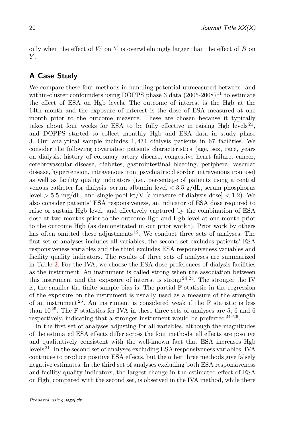only when the effect of  $W$  on  $Y$  is overwhelmingly larger than the effect of  $B$  on  $Y$ .

# A Case Study

We compare these four methods in handling potential unmeasured between- and within-cluster confounders using DOPPS phase 3 data  $(2005-2008)^{11}$  $(2005-2008)^{11}$  $(2005-2008)^{11}$  to estimate the effect of ESA on Hgb levels. The outcome of interest is the Hgb at the 14th month and the exposure of interest is the dose of ESA measured at one month prior to the outcome measure. These are chosen because it typically takes about four weeks for ESA to be fully effective in raising Hgb levels<sup>[21](#page-25-12)</sup>, and DOPPS started to collect monthly Hgb and ESA data in study phase 3. Our analytical sample includes 1, 434 dialysis patients in 67 facilities. We consider the following covariates: patients characteristics (age, sex, race, years on dialysis, history of coronary artery disease, congestive heart failure, cancer, cerebrovascular disease, diabetes, gastrointestinal bleeding, peripheral vascular disease, hypertension, intravenous iron, psychiatric disorder, intravenous iron use) as well as facility quality indicators (i.e., percentage of patients using a central venous catheter for dialysis, serum albumin level  $\langle 3.5 \text{ g}/dL$ , serum phosphorus level  $> 5.5$  mg/dL, and single pool kt/V [a measure of dialysis dose]  $< 1.2$ ). We also consider patients' ESA responsiveness, an indicator of ESA dose required to raise or sustain Hgb level, and effectively captured by the combination of ESA dose at two months prior to the outcome Hgb and Hgb level at one month prior to the outcome Hgb (as demonstrated in our prior work<sup>[1](#page-24-0)</sup>). Prior work by others has often omitted these adjustments  $12$ . We conduct three sets of analyses. The first set of analyses includes all variables, the second set excludes patients' ESA responsiveness variables and the third excludes ESA responsiveness variables and facility quality indicators. The results of three sets of analyses are summarized in Table [2.](#page-21-0) For the IVA, we choose the ESA dose preferences of dialysis facilities as the instrument. An instrument is called strong when the association between this instrument and the exposure of interest is strong  $2^{4,25}$  $2^{4,25}$  $2^{4,25}$ . The stronger the IV is, the smaller the finite sample bias is. The partial F statistic in the regression of the exposure on the instrument is usually used as a measure of the strength of an instrument [25](#page-26-1). An instrument is considered weak if the F statistic is less than  $10^{25}$  $10^{25}$  $10^{25}$ . The F statistics for IVA in these three sets of analyses are 5, 6 and 6 respectively, indicating that a stronger instrument would be preferred  $24-26$  $24-26$ .

In the first set of analyses adjusting for all variables, although the magnitudes of the estimated ESA effects differ across the four methods, all effects are positive and qualitatively consistent with the well-known fact that ESA increases Hgb levels [21](#page-25-12). In the second set of analyses excluding ESA responsiveness variables, IVA continues to produce positive ESA effects, but the other three methods give falsely negative estimates. In the third set of analyses excluding both ESA responsiveness and facility quality indicators, the largest change in the estimated effect of ESA on Hgb, compared with the second set, is observed in the IVA method, while there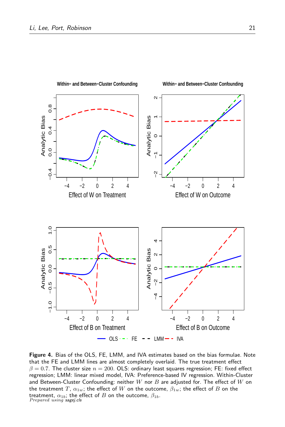<span id="page-20-0"></span>

### **Within− and Between−Cluster Confounding**

**Within− and Between−Cluster Confounding**

Figure 4. Bias of the OLS, FE, LMM, and IVA estimates based on the bias formulae. Note that the FE and LMM lines are almost completely overlaid. The true treatment effect  $\beta = 0.7$ . The cluster size  $n = 200$ . OLS: ordinary least squares regression; FE: fixed effect regression; LMM: linear mixed model, IVA: Preference-based IV regression. Within-Cluster and Between-Cluster Confounding: neither  $W$  nor  $B$  are adjusted for. The effect of  $W$  on the treatment T,  $\alpha_{1w}$ ; the effect of W on the outcome,  $\beta_{1w}$ ; the effect of B on the treatment,  $\alpha_{1b}$ ; the effect of B on the outcome,  $\beta_{1b}$ .<br>Prepared using sagej.cls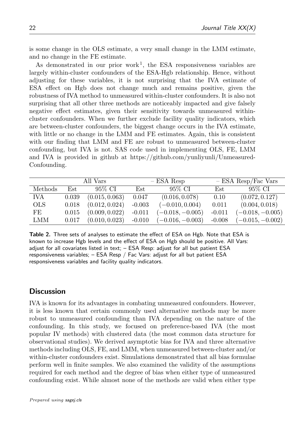is some change in the OLS estimate, a very small change in the LMM estimate, and no change in the FE estimate.

As demonstrated in our prior work<sup>[1](#page-24-0)</sup>, the ESA responsiveness variables are largely within-cluster confounders of the ESA-Hgb relationship. Hence, without adjusting for these variables, it is not surprising that the IVA estimate of ESA effect on Hgb does not change much and remains positive, given the robustness of IVA method to unmeasured within-cluster confounders. It is also not surprising that all other three methods are noticeably impacted and give falsely negative effect estimates, given their sensitivity towards unmeasured withincluster confounders. When we further exclude facility quality indicators, which are between-cluster confounders, the biggest change occurs in the IVA estimate, with little or no change in the LMM and FE estimates. Again, this is consistent with our finding that LMM and FE are robust to unmeasured between-cluster confounding, but IVA is not. SAS code used in implementing OLS, FE, LMM and IVA is provided in github at https://github.com/yunliyunli/Unmeasured-Confounding.

<span id="page-21-0"></span>

|            | All Vars |                | $-$ ESA Resp |                    | $-$ ESA Resp/Fac Vars |                    |
|------------|----------|----------------|--------------|--------------------|-----------------------|--------------------|
| Methods    | Est      | 95% CI         | Est          | 95% CI             | Est                   | 95% CI             |
| IVA        | 0.039    | (0.015, 0.063) | 0.047        | (0.016, 0.078)     | 0.10                  | (0.072, 0.127)     |
| <b>OLS</b> | 0.018    | (0.012, 0.024) | $-0.003$     | $(-0.010, 0.004)$  | 0.011                 | (0.004, 0.018)     |
| FE         | 0.015    | (0.009, 0.022) | $-0.011$     | $(-0.018, -0.005)$ | $-0.011$              | $(-0.018, -0.005)$ |
| LMM        | 0.017    | (0.010, 0.023) | $-0.010$     | $(-0.016, -0.003)$ | $-0.008$              | $(-0.015, -0.002)$ |

Table 2. Three sets of analyses to estimate the effect of ESA on Hgb. Note that ESA is known to increase Hgb levels and the effect of ESA on Hgb should be positive. All Vars: adjust for all covariates listed in text; – ESA Resp: adjust for all but patient ESA responsiveness variables; – ESA Resp / Fac Vars: adjust for all but patient ESA responsiveness variables and facility quality indicators.

## **Discussion**

IVA is known for its advantages in combating unmeasured confounders. However, it is less known that certain commonly used alternative methods may be more robust to unmeasured confounding than IVA depending on the nature of the confounding. In this study, we focused on preference-based IVA (the most popular IV methods) with clustered data (the most common data structure for observational studies). We derived asymptotic bias for IVA and three alternative methods including OLS, FE, and LMM, when unmeasured between-cluster and/or within-cluster confounders exist. Simulations demonstrated that all bias formulae perform well in finite samples. We also examined the validity of the assumptions required for each method and the degree of bias when either type of unmeasured confounding exist. While almost none of the methods are valid when either type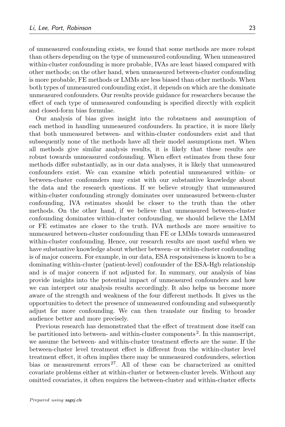of unmeasured confounding exists, we found that some methods are more robust than others depending on the type of unmeasured confounding. When unmeasured within-cluster confounding is more probable, IVAs are least biased compared with other methods; on the other hand, when unmeasured between-cluster confounding is more probable, FE methods or LMMs are less biased than other methods. When both types of unmeasured confounding exist, it depends on which are the dominate unmeasured confounders. Our results provide guidance for researchers because the effect of each type of unmeasured confounding is specified directly with explicit and closed-form bias formulae.

Our analysis of bias gives insight into the robustness and assumption of each method in handling unmeasured confounders. In practice, it is more likely that both unmeasured between- and within-cluster confounders exist and that subsequently none of the methods have all their model assumptions met. When all methods give similar analysis results, it is likely that these results are robust towards unmeasured confounding. When effect estimates from these four methods differ substantially, as in our data analyses, it is likely that unmeasured confounders exist. We can examine which potential unmeasured within- or between-cluster confounders may exist with our substantive knowledge about the data and the research questions. If we believe strongly that unmeasured within-cluster confounding strongly dominates over unmeasured between-cluster confounding, IVA estimates should be closer to the truth than the other methods. On the other hand, if we believe that unmeasured between-cluster confounding dominates within-cluster confounding, we should believe the LMM or FE estimates are closer to the truth. IVA methods are more sensitive to unmeasured between-cluster confounding than FE or LMMs towards unmeasured within-cluster confounding. Hence, our research results are most useful when we have substantive knowledge about whether between- or within-cluster confounding is of major concern. For example, in our data, ESA responsiveness is known to be a dominating within-cluster (patient-level) confounder of the ESA-Hgb relationship and is of major concern if not adjusted for. In summary, our analysis of bias provide insights into the potential impact of unmeasured confounders and how we can interpret our analysis results accordingly. It also helps us become more aware of the strength and weakness of the four different methods. It gives us the opportunities to detect the presence of unmeasured confounding and subsequently adjust for more confounding. We can then translate our finding to broader audience better and more precisely.

Previous research has demonstrated that the effect of treatment dose itself can be partitioned into between- and within-cluster components<sup>[2](#page-24-3)</sup>. In this manuscript, we assume the between- and within-cluster treatment effects are the same. If the between-cluster level treatment effect is different from the within-cluster level treatment effect, it often implies there may be unmeasured confounders, selection bias or measurement errors<sup>[27](#page-26-3)</sup>. All of these can be characterized as omitted covariate problems either at within-cluster or between-cluster levels. Without any omitted covariates, it often requires the between-cluster and within-cluster effects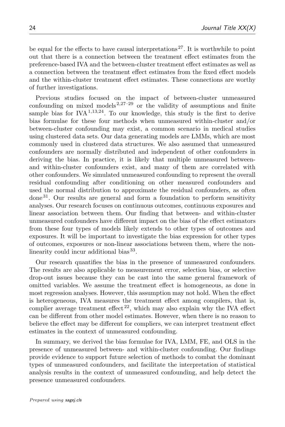be equal for the effects to have causal interpretations  $27$ . It is worthwhile to point out that there is a connection between the treatment effect estimates from the preference-based IVA and the between-cluster treatment effect estimates as well as a connection between the treatment effect estimates from the fixed effect models and the within-cluster treatment effect estimates. These connections are worthy of further investigations.

Previous studies focused on the impact of between-cluster unmeasured confounding on mixed models<sup>[2](#page-24-3)[,27](#page-26-3)[–29](#page-26-4)</sup> or the validity of assumptions and finite sample bias for IVA<sup>[1,](#page-24-0)[13](#page-25-15)[,24](#page-25-14)</sup>. To our knowledge, this study is the first to derive bias formulae for these four methods when unmeasured within-cluster and/or between-cluster confounding may exist, a common scenario in medical studies using clustered data sets. Our data generating models are LMMs, which are most commonly used in clustered data structures. We also assumed that unmeasured confounders are normally distributed and independent of other confounders in deriving the bias. In practice, it is likely that multiple unmeasured betweenand within-cluster confounders exist, and many of them are correlated with other confounders. We simulated unmeasured confounding to represent the overall residual confounding after conditioning on other measured confounders and used the normal distribution to approximate the residual confounders, as often  $\gamma$  done<sup>[31](#page-26-5)</sup>. Our results are general and form a foundation to perform sensitivity analyses. Our research focuses on continuous outcomes, continuous exposures and linear association between them. Our finding that between- and within-cluster unmeasured confounders have different impact on the bias of the effect estimators from these four types of models likely extends to other types of outcomes and exposures. It will be important to investigate the bias expression for other types of outcomes, exposures or non-linear associations between them, where the non-linearity could incur additional bias<sup>[33](#page-26-6)</sup>.

Our research quantifies the bias in the presence of unmeasured confounders. The results are also applicable to measurement error, selection bias, or selective drop-out issues because they can be cast into the same general framework of omitted variables. We assume the treatment effect is homogeneous, as done in most regression analyses. However, this assumption may not hold. When the effect is heterogeneous, IVA measures the treatment effect among compilers, that is, complier average treatment effect  $^{22}$  $^{22}$  $^{22}$ , which may also explain why the IVA effect can be different from other model estimates. However, when there is no reason to believe the effect may be different for compliers, we can interpret treatment effect estimates in the context of unmeasured confounding.

In summary, we derived the bias formulae for IVA, LMM, FE, and OLS in the presence of unmeasured between- and within-cluster confounding. Our findings provide evidence to support future selection of methods to combat the dominant types of unmeasured confounders, and facilitate the interpretation of statistical analysis results in the context of unmeasured confounding, and help detect the presence unmeasured confounders.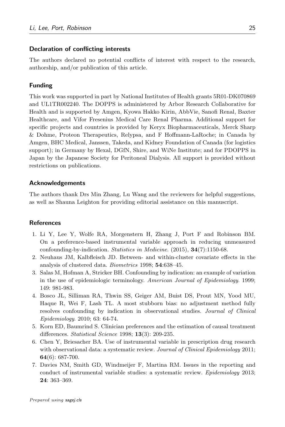### Declaration of conflicting interests

The authors declared no potential conflicts of interest with respect to the research, authorship, and/or publication of this article.

### Funding

This work was supported in part by National Institutes of Health grants 5R01-DK070869 and UL1TR002240. The DOPPS is administered by Arbor Research Collaborative for Health and is supported by Amgen, Kyowa Hakko Kirin, AbbVie, Sanofi Renal, Baxter Healthcare, and Vifor Fresenius Medical Care Renal Pharma. Additional support for specific projects and countries is provided by Keryx Biopharmaceuticals, Merck Sharp & Dohme, Proteon Therapeutics, Relypsa, and F Hoffmann-LaRoche; in Canada by Amgen, BHC Medical, Janssen, Takeda, and Kidney Foundation of Canada (for logistics support); in Germany by Hexal, DGfN, Shire, and WiNe Institute; and for PDOPPS in Japan by the Japanese Society for Peritoneal Dialysis. All support is provided without restrictions on publications.

### Acknowledgements

The authors thank Drs Min Zhang, Lu Wang and the reviewers for helpful suggestions, as well as Shauna Leighton for providing editorial assistance on this manuscript.

### **References**

- <span id="page-24-0"></span>1. Li Y, Lee Y, Wolfe RA, Morgenstern H, Zhang J, Port F and Robinson BM. On a preference-based instrumental variable approach in reducing unmeasured confounding-by-indication. Statistics in Medicine. (2015), 34(7):1150-68.
- <span id="page-24-3"></span>2. Neuhaus JM, Kalbfleisch JD. Between- and within-cluster covariate effects in the analysis of clustered data. Biometrics 1998; 54:638–45.
- 3. Salas M, Hofman A, Stricker BH. Confounding by indication: an example of variation in the use of epidemiologic terminology. American Journal of Epidemiology. 1999; 149: 981-983.
- <span id="page-24-1"></span>4. Bosco JL, Silliman RA, Thwin SS, Geiger AM, Buist DS, Prout MN, Yood MU, Haque R, Wei F, Lash TL. A most stubborn bias: no adjustment method fully resolves confounding by indication in observational studies. Journal of Clinical Epidemiology. 2010; 63: 64-74.
- <span id="page-24-2"></span>5. Korn ED, Baumrind S. Clinician preferences and the estimation of causal treatment differences. *Statistical Science* 1998; **13**(3): 209-235.
- 6. Chen Y, Briesacher BA. Use of instrumental variable in prescription drug research with observational data: a systematic review. Journal of Clinical Epidemiology 2011; 64(6): 687-700.
- 7. Davies NM, Smith GD, Windmeijer F, Martina RM. Issues in the reporting and conduct of instrumental variable studies: a systematic review. *Epidemiology* 2013; 24: 363–369.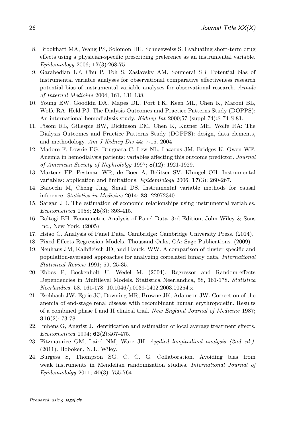- <span id="page-25-0"></span>8. Brookhart MA, Wang PS, Solomon DH, Schneeweiss S. Evaluating short-term drug effects using a physician-specific prescribing preference as an instrumental variable. Epidemiology 2006; 17(3):268-75.
- <span id="page-25-1"></span>9. Garabedian LF, Chu P, Toh S, Zaslavsky AM, Soumerai SB. Potential bias of instrumental variable analyses for observational comparative effectiveness research potential bias of instrumental variable analyses for observational research. Annals of Internal Medicine 2004; 161, 131-138.
- 10. Young EW, Goodkin DA, Mapes DL, Port FK, Keen ML, Chen K, Maroni BL, Wolfe RA, Held PJ. The Dialysis Outcomes and Practice Patterns Study (DOPPS): An international hemodialysis study. *Kidney Int* 2000;57 (suppl 74):S-74-S-81.
- <span id="page-25-2"></span>11. Pisoni RL, Gillespie BW, Dickinson DM, Chen K, Kutner MH, Wolfe RA: The Dialysis Outcomes and Practice Patterns Study (DOPPS): design, data elements, and methodology. Am J Kidney Dis 44: 7-15. 2004
- <span id="page-25-13"></span>12. Madore F, Lowrie EG, Brugnara C, Lew NL, Lazarus JM, Bridges K, Owen WF. Anemia in hemodialysis patients: variables affecting this outcome predictor. Journal of American Society of Nephrololgy 1997; 8(12): 1921-1929.
- <span id="page-25-15"></span>13. Martens EP, Pestman WR, de Boer A, Belitser SV, Klungel OH. Instrumental variables: application and limitations. Epidemiology 2006; 17(3): 260-267.
- <span id="page-25-6"></span>14. Baiocchi M, Cheng Jing, Small DS. Instrumental variable methods for causal inference. Statistics in Medicine 2014; 33: 22972340.
- <span id="page-25-7"></span>15. Sargan JD. The estimation of economic relationships using instrumental variables. Econometrica 1958; 26(3): 393-415.
- <span id="page-25-3"></span>16. Baltagi BH. Econometric Analysis of Panel Data. 3rd Edition, John Wiley & Sons Inc., New York. (2005)
- <span id="page-25-4"></span>17. Hsiao C. Analysis of Panel Data. Cambridge: Cambridge University Press. (2014).
- <span id="page-25-5"></span>18. Fixed Effects Regression Models. Thousand Oaks, CA: Sage Publications. (2009)
- <span id="page-25-9"></span>19. Neuhaus JM, Kalbfleisch JD, and Hauck, WW. A comparison of cluster-specific and population-averaged approaches for analyzing correlated binary data. International Statistical Review 1991; 59, 25-35.
- <span id="page-25-10"></span>20. Ebbes P, Bockenholt U, Wedel M. (2004). Regressor and Random-effects Dependencies in Multilevel Models, Statistica Neerlandica, 58, 161-178. Statistica Neerlandica. 58. 161-178. 10.1046/j.0039-0402.2003.00254.x.
- <span id="page-25-12"></span>21. Eschbach JW, Egrie JC, Downing MR, Browne JK, Adamson JW. Correction of the anemia of end-stage renal disease with recombinant human erythropoietin. Results of a combined phase I and II clinical trial. New England Journal of Medicine 1987;  $316(2): 73-78.$
- <span id="page-25-8"></span>22. Imbens G, Angrist J. Identification and estimation of local average treatment effects. Econometrica 1994; 62(2):467-475.
- <span id="page-25-11"></span>23. Fitzmaurice GM, Laird NM, Ware JH. Applied longitudinal analysis (2nd ed.). (2011). Hoboken, N.J.: Wiley.
- <span id="page-25-14"></span>24. Burgess S, Thompson SG, C. C. G. Collaboration. Avoiding bias from weak instruments in Mendelian randomization studies. International Journal of Epidemiololgy 2011; 40(3): 755-764.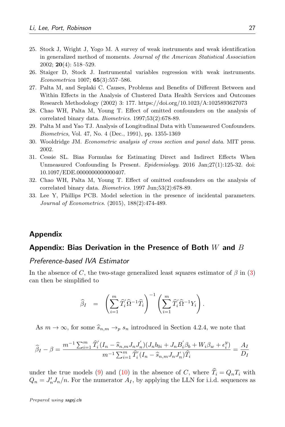- <span id="page-26-1"></span>25. Stock J, Wright J, Yogo M. A survey of weak instruments and weak identification in generalized method of moments. Journal of the American Statistical Association 2002; 20(4): 518–529.
- <span id="page-26-2"></span>26. Staiger D, Stock J. Instrumental variables regression with weak instruments. Econometrica 1007; 65(3):557–586.
- <span id="page-26-3"></span>27. Palta M, and Seplaki C. Causes, Problems and Benefits of Different Between and Within Effects in the Analysis of Clustered Data Health Services and Outcomes Research Methodology (2002) 3: 177. https://doi.org/10.1023/A:1025893627073
- 28. Chao WH, Palta M, Young T. Effect of omitted confounders on the analysis of correlated binary data. Biometrics. 1997;53(2):678-89.
- <span id="page-26-4"></span>29. Palta M and Yao TJ. Analysis of Longitudinal Data with Unmeasured Confounders. Biometrics, Vol. 47, No. 4 (Dec., 1991), pp. 1355-1369
- <span id="page-26-0"></span>30. Wooldridge JM. Econometric analysis of cross section and panel data. MIT press. 2002.
- <span id="page-26-5"></span>31. Cessie SL. Bias Formulas for Estimating Direct and Indirect Effects When Unmeasured Confounding Is Present. Epidemiology. 2016 Jan;27(1):125-32. doi: 10.1097/EDE.0000000000000407.
- 32. Chao WH, Palta M, Young T. Effect of omitted confounders on the analysis of correlated binary data. Biometrics. 1997 Jun;53(2):678-89.
- <span id="page-26-6"></span>33. Lee Y, Phillips PCB. Model selection in the presence of incidental parameters. Journal of Econometrics. (2015), 188(2):474-489.

## Appendix

## Appendix: Bias Derivation in the Presence of Both  $W$  and  $B$

### Preference-based IVA Estimator

In the absence of C, the two-stage generalized least squares estimator of  $\beta$  in [\(3\)](#page-5-0) can then be simplified to

$$
\widehat{\beta}_I = \left( \sum_{i=1}^m \widehat{T}_i' \widehat{\Omega}^{-1} \widehat{T}_i \right)^{-1} \left( \sum_{i=1}^m \widehat{T}_i' \widehat{\Omega}^{-1} Y_i \right).
$$

As  $m \to \infty$ , for some  $\widehat{s}_{n,m} \to_{p} s_n$  introduced in Section 4.2.4, we note that

$$
\widehat{\beta}_I - \beta = \frac{m^{-1} \sum_{i=1}^m \widehat{T}_i' (I_n - \widehat{s}_{n,m} J_n J_n') (J_n b_{0i} + J_n B_i' \beta_b + W_i \beta_w + \epsilon_i^y)}{m^{-1} \sum_{i=1}^m \widehat{T}_i' (I_n - \widehat{s}_{n,m} J_n J_n') \widehat{T}_i} = \frac{A_I}{D_I}
$$

under the true models [\(9\)](#page-9-1) and [\(10\)](#page-9-1) in the absence of C, where  $\hat{T}_i = Q_nT_i$  with  $Q_n = J'_n J_n/n$ . For the numerator  $A_I$ , by applying the LLN for i.i.d. sequences as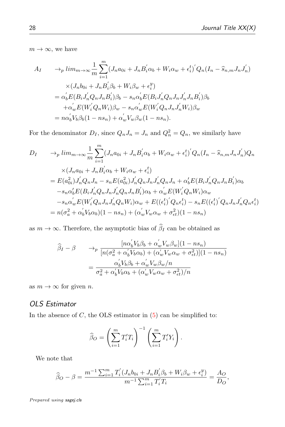$m \to \infty$ , we have

$$
A_{I} \rightarrow_{p} lim_{m \to \infty} \frac{1}{m} \sum_{i=1}^{m} (J_{n}a_{0i} + J_{n}B_{i}^{'}\alpha_{b} + W_{i}\alpha_{w} + \epsilon_{i}^{t})^{'}Q_{n}(I_{n} - \hat{s}_{n,m}J_{n}J_{n}^{'})
$$
  
\n
$$
\times (J_{n}b_{0i} + J_{n}B_{i}^{'}\beta_{b} + W_{i}\beta_{w} + \epsilon_{i}^{y})
$$
  
\n
$$
= \alpha_{b}^{'}E(B_{i}J_{n}^{'}Q_{n}J_{n}B_{i}^{'})\beta_{b} - s_{n}\alpha_{b}^{'}E(B_{i}J_{n}^{'}Q_{n}J_{n}J_{n}^{'}J_{n}B_{i}^{'})\beta_{b}
$$
  
\n
$$
+ \alpha_{w}^{'}E(W_{i}^{'}Q_{n}W_{i})\beta_{w} - s_{n}\alpha_{w}^{'}E(W_{i}^{'}Q_{n}J_{n}J_{n}^{'}W_{i})\beta_{w}
$$
  
\n
$$
= n\alpha_{b}^{'}V_{b}\beta_{b}(1 - ns_{n}) + \alpha_{w}^{'}V_{w}\beta_{w}(1 - ns_{n}).
$$

For the denominator  $D_I$ , since  $Q_n J_n = J_n$  and  $Q_n^2 = Q_n$ , we similarly have

$$
D_{I} \longrightarrow_{p} lim_{m \to \infty} \frac{1}{m} \sum_{i=1}^{m} (J_{n}a_{0i} + J_{n}B'_{i}\alpha_{b} + W_{i}\alpha_{w} + \epsilon_{i}^{t})'Q_{n}(I_{n} - \hat{s}_{n,m}J_{n}J'_{n})Q_{n}
$$
  
\n
$$
\times (J_{n}a_{0i} + J_{n}B'_{i}\alpha_{b} + W_{i}\alpha_{w} + \epsilon_{i}^{t})
$$
  
\n
$$
= E(a_{0i}^{2})J'_{n}Q_{n}J_{n} - s_{n}E(a_{0i}^{2})J'_{n}Q_{n}J_{n}J'_{n}Q_{n}J_{n} + \alpha'_{b}E(B_{i}J'_{n}Q_{n}J_{n}B'_{i})\alpha_{b}
$$
  
\n
$$
-s_{n}\alpha'_{b}E(B_{i}J'_{n}Q_{n}J_{n}J'_{n}Q_{n}J_{n}B'_{i})\alpha_{b} + \alpha'_{w}E(W'_{i}Q_{n}W_{i})\alpha_{w}
$$
  
\n
$$
-s_{n}\alpha'_{w}E(W'_{i}Q_{n}J_{n}J'_{n}Q_{n}W_{i})\alpha_{w} + E((\epsilon_{i}^{t})'Q_{n}\epsilon_{i}^{t}) - s_{n}E((\epsilon_{i}^{t})'Q_{n}J_{n}J'_{n}Q_{n}\epsilon_{i}^{t})
$$
  
\n
$$
= n(\sigma_{a}^{2} + \alpha'_{b}V_{b}\alpha_{b})(1 - ns_{n}) + (\alpha'_{w}V_{w}\alpha_{w} + \sigma_{\epsilon t}^{2})(1 - ns_{n})
$$

as  $m \to \infty$ . Therefore, the asymptotic bias of  $\widehat{\beta}_I$  can be obtained as

$$
\widehat{\beta}_I - \beta \qquad \rightarrow_p \frac{[n\alpha'_b V_b \beta_b + \alpha'_w V_w \beta_w](1 - ns_n)}{[n(\sigma_a^2 + \alpha'_b V_b \alpha_b) + (\alpha'_w V_w \alpha_w + \sigma_{et}^2)](1 - ns_n)}
$$

$$
= \frac{\alpha'_b V_b \beta_b + \alpha'_w V_w \beta_w / n}{\sigma_a^2 + \alpha'_b V_b \alpha_b + (\alpha'_w V_w \alpha_w + \sigma_{et}^2)/n}
$$

as  $m \to \infty$  for given n.

# OLS Estimator

In the absence of  $C$ , the OLS estimator in  $(5)$  can be simplified to:

$$
\widehat{\beta}_O = \left(\sum_{i=1}^m T'_i T_i\right)^{-1} \left(\sum_{i=1}^m T'_i Y_i\right).
$$

We note that

$$
\widehat{\beta}_O - \beta = \frac{m^{-1} \sum_{i=1}^m T_i' (J_n b_{0i} + J_n B_i' \beta_b + W_i \beta_w + \epsilon_i^y)}{m^{-1} \sum_{i=1}^m T_i' T_i} = \frac{A_O}{D_O},
$$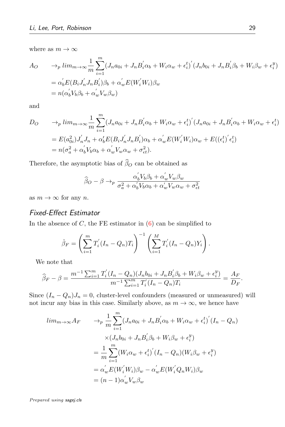where as  $m \to \infty$ 

$$
A_O \qquad \to_p l i m_{m \to \infty} \frac{1}{m} \sum_{i=1}^m (J_n a_{0i} + J_n B'_i \alpha_b + W_i \alpha_w + \epsilon_i^t)' (J_n b_{0i} + J_n B'_i \beta_b + W_i \beta_w + \epsilon_i^y)
$$
  

$$
= \alpha'_b E(B_i J'_n J_n B'_i) \beta_b + \alpha'_w E(W'_i W_i) \beta_w
$$
  

$$
= n(\alpha'_b V_b \beta_b + \alpha'_w V_w \beta_w)
$$

and

$$
D_O \qquad \to_p l i m_{m \to \infty} \frac{1}{m} \sum_{i=1}^m (J_n a_{0i} + J_n B_i' \alpha_b + W_i \alpha_w + \epsilon_i^{t})' (J_n a_{0i} + J_n B_i' \alpha_b + W_i \alpha_w + \epsilon_i^{t})
$$
  

$$
= E(a_{0i}^2) J_n' J_n + \alpha_b' E(B_i J_n' J_n B_i') \alpha_b + \alpha_w' E(W_i' W_i) \alpha_w + E((\epsilon_i^{t})' \epsilon_i^{t})
$$
  

$$
= n(\sigma_a^2 + \alpha_b' V_b \alpha_b + \alpha_w' V_w \alpha_w + \sigma_{\epsilon t}^2).
$$

Therefore, the asymptotic bias of  $\widehat{\beta}_O$  can be obtained as

$$
\widehat{\beta}_O - \beta \rightarrow_p \frac{\alpha_b' V_b \beta_b + \alpha_w' V_w \beta_w}{\sigma_a^2 + \alpha_b' V_b \alpha_b + \alpha_w' V_w \alpha_w + \sigma_{\epsilon t}^2}
$$

as  $m \to \infty$  for any n.

# Fixed-Effect Estimator

In the absence of  $C$ , the FE estimator in  $(6)$  can be simplified to

$$
\hat{\beta}_F = \left(\sum_{i=1}^m T'_i (I_n - Q_n) T_i\right)^{-1} \left(\sum_{i=1}^M T'_i (I_n - Q_n) Y_i\right).
$$

We note that

$$
\widehat{\beta}_F - \beta = \frac{m^{-1} \sum_{i=1}^m T_i'(I_n - Q_n)(J_n b_{0i} + J_n B_i' \beta_b + W_i \beta_w + \epsilon_i^y)}{m^{-1} \sum_{i=1}^m T_i'(I_n - Q_n) T_i} = \frac{A_F}{D_F}.
$$

Since  $(I_n - Q_n)J_n = 0$ , cluster-level confounders (measured or unmeasured) will not incur any bias in this case. Similarly above, as  $m \to \infty$ , we hence have

$$
lim_{m\to\infty} A_F \longrightarrow_p \frac{1}{m} \sum_{i=1}^m (J_n a_{0i} + J_n B'_i \alpha_b + W_i \alpha_w + \epsilon_i^t)' (I_n - Q_n)
$$
  

$$
\times (J_n b_{0i} + J_n B'_i \beta_b + W_i \beta_w + \epsilon_i^y)
$$
  

$$
= \frac{1}{m} \sum_{i=1}^m (W_i \alpha_w + \epsilon_i^t)' (I_n - Q_n) (W_i \beta_w + \epsilon_i^y)
$$
  

$$
= \alpha_w' E(W'_i W_i) \beta_w - \alpha_w' E(W'_i Q_n W_i) \beta_w
$$
  

$$
= (n-1) \alpha_w' V_w \beta_w
$$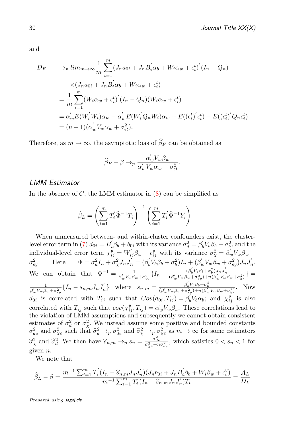and

$$
D_F \longrightarrow_p lim_{m \to \infty} \frac{1}{m} \sum_{i=1}^m (J_n a_{0i} + J_n B'_i \alpha_b + W_i \alpha_w + \epsilon_i^t)' (I_n - Q_n)
$$
  
\n
$$
\times (J_n a_{0i} + J_n B'_i \alpha_b + W_i \alpha_w + \epsilon_i^t)
$$
  
\n
$$
= \frac{1}{m} \sum_{i=1}^m (W_i \alpha_w + \epsilon_i^t)' (I_n - Q_n) (W_i \alpha_w + \epsilon_i^t)
$$
  
\n
$$
= \alpha_w' E(W'_i W_i) \alpha_w - \alpha_w' E(W'_i Q_n W_i) \alpha_w + E((\epsilon_i^t)' \epsilon_i^t) - E((\epsilon_i^t)' Q_n \epsilon_i^t)
$$
  
\n
$$
= (n-1)(\alpha_w' V_w \alpha_w + \sigma_{\epsilon t}^2).
$$

Therefore, as  $m \to \infty$ , the asymptotic bias of  $\widehat{\beta}_F$  can be obtained as

$$
\widehat{\beta}_F - \beta \to_p \frac{\alpha_w' V_w \beta_w}{\alpha_w' V_w \alpha_w + \sigma_{\epsilon t}^2}.
$$

## LMM Estimator

In the absence of  $C$ , the LMM estimator in  $(8)$  can be simplified as

$$
\hat{\beta}_L = \left(\sum_{i=1}^m T_i' \hat{\Phi}^{-1} T_i\right)^{-1} \left(\sum_{i=1}^m T_i' \hat{\Phi}^{-1} Y_i\right).
$$

When unmeasured between- and within-cluster confounders exist, the cluster-level error term in [\(7\)](#page-7-2)  $d_{0i} = B_i' \beta_b + b_{0i}$  with its variance  $\sigma_d^2 = \beta_b' V_b \beta_b + \sigma_b^2$ , and the individual-level error term  $\chi_{ij}^y = W_{ij}' \beta_w + \epsilon_{ij}^y$  with its variance  $\sigma_{\chi}^2 = \beta_w' V_w \beta_w + \epsilon_{ij}^y$  $\sigma_{ey}^2$ . Here  $\Phi = \sigma_d^2 I_n + \sigma_\chi^2 J_n J_n' = (\beta_0' V_b \beta_b + \sigma_b^2) I_n + (\beta_w' V_w \beta_w + \sigma_{ey}^2) J_n J_n'$ . We can obtain that  $\Phi^{-1} = \frac{1}{\beta' \nu \beta}$  $\frac{1}{\beta_w'V_w\beta_w+\sigma_{ey}^2}\big\{I_n-\frac{(\beta_b'V_b\beta_b+\sigma_b^2)J_nJ_n'}{(\beta_w'V_w\beta_w+\sigma_{ey}^2)+n(\beta_w'V_w\beta_w+\sigma_b^2)}\big\}=$ 1  $\frac{1}{\beta_w' V_w \beta_w + \sigma_{ey}^2} \{I_n - s_{n,m} J_n J'_n\}$  where  $s_{n,m} = \frac{\beta_b' V_b \beta_b + \sigma_b^2}{(\beta_w' V_w \beta_w + \sigma_{ey}^2) + n(\beta_w' V_w \beta_w + \sigma_b^2)}$ . Now  $d_{0i}$  is correlated with  $T_{ij}$  such that  $Cov(d_{0i}, T_{ij}) = \beta'_b V_b \alpha_b$ ; and  $\chi_{ij}^y$  is also 0 correlated with  $T_{ij}$  such that  $cov(\chi_{ij}^y, T_{ij}) = \alpha_w' V_w \beta_w$ . These correlations lead to the violation of LMM assumptions and subsequently we cannot obtain consistent estimates of  $\sigma_d^2$  or  $\sigma_{\chi}^2$ . We instead assume some positive and bounded constants  $\sigma_{de}^2$  and  $\sigma_{\chi}^2$  such that  $\hat{\sigma}_d^2 \to_p \sigma_{de}^2$  and  $\hat{\sigma}_{\chi}^2 \to_p \sigma_{\chi}^2$  as  $m \to \infty$  for some estimators  $\hat{\sigma}_{d}^{2}$  and  $\hat{\sigma}_{d}^{2}$ . We then have  $\hat{s}_{n,m} \rightarrow_{p} s_{n} = \frac{\sigma_{de}^{2}}{\sigma_{\chi e}^{2} + n \sigma_{de}^{2}}$ , which satisfies  $0 < s_{n} < 1$  for given n.

We note that

$$
\widehat{\beta}_L - \beta = \frac{m^{-1} \sum_{i=1}^m T_i' (I_n - \widehat{s}_{n,m} J_n J_n') (J_n b_{0i} + J_n B_i' \beta_b + W_i \beta_w + \epsilon_i^y)}{m^{-1} \sum_{i=1}^m T_i' (I_n - \widehat{s}_{n,m} J_n J_n') T_i} = \frac{A_L}{D_L}
$$